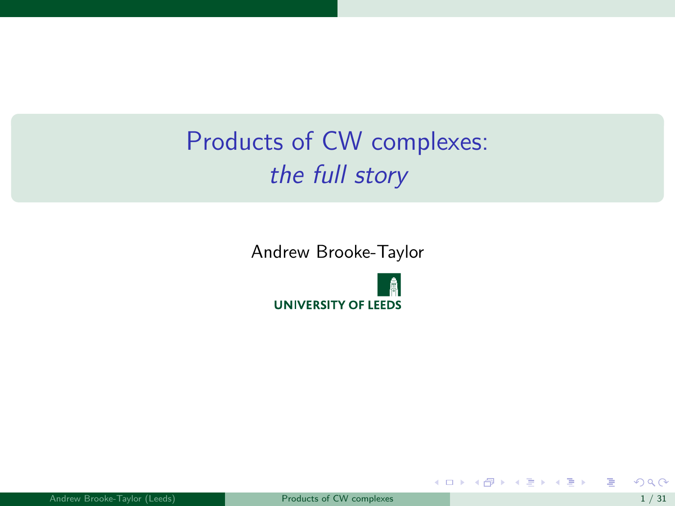# <span id="page-0-0"></span>Products of CW complexes: the full story

Andrew Brooke-Taylor



活

イロメ イ部メ イ君メ イ君メー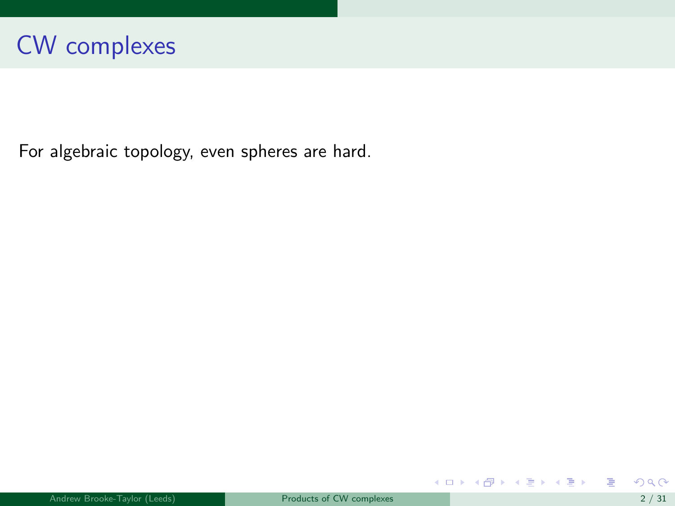For algebraic topology, even spheres are hard.

重

メロメ メ御 メメ きょうくきょう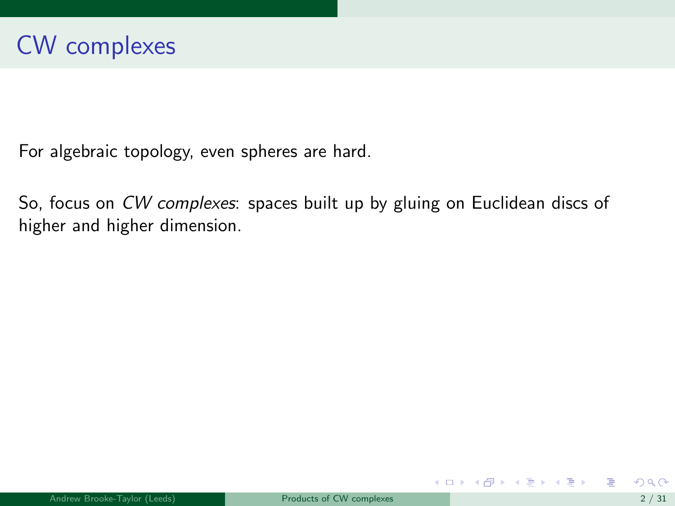For algebraic topology, even spheres are hard.

So, focus on CW complexes: spaces built up by gluing on Euclidean discs of higher and higher dimension.

メロメ メ御き メミメ メミメー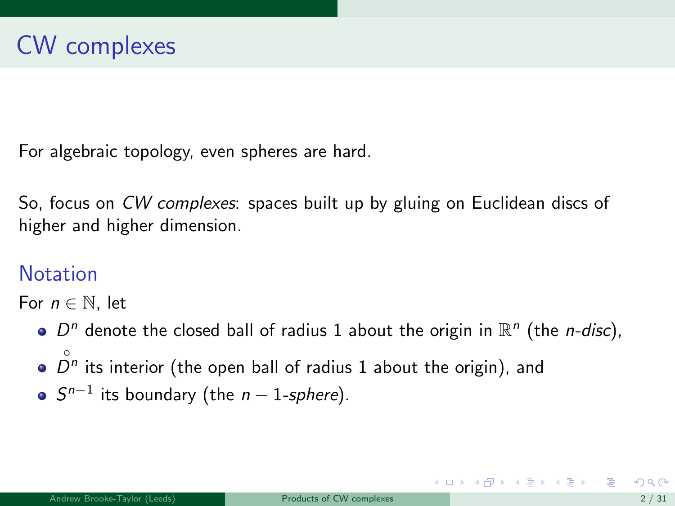For algebraic topology, even spheres are hard.

So, focus on CW complexes: spaces built up by gluing on Euclidean discs of higher and higher dimension.

### **Notation**

For  $n \in \mathbb{N}$ , let

- $D^n$  denote the closed ball of radius 1 about the origin in  $\mathbb{R}^n$  (the *n-disc*), ◦
- $D<sup>n</sup>$  its interior (the open ball of radius 1 about the origin), and
- $S^{n-1}$  its boundary (the  $n-1$ -sphere).

メロメ メ部 メメ きょうくきょう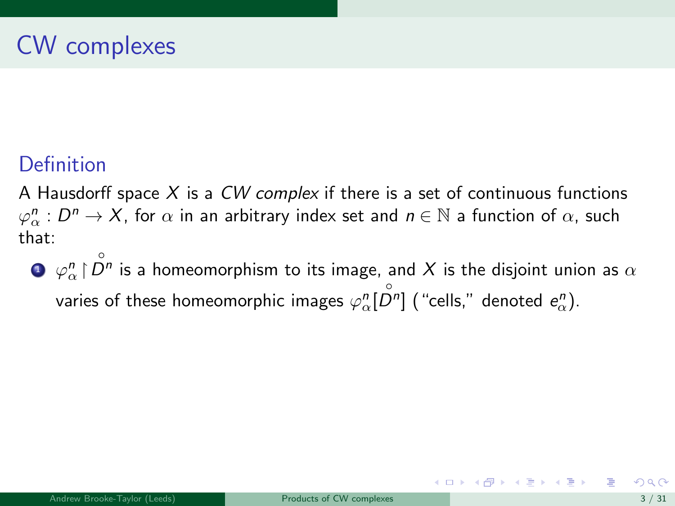### **Definition**

A Hausdorff space  $X$  is a CW complex if there is a set of continuous functions  $\varphi^n_\alpha : D^n \to X$ , for  $\alpha$  in an arbitrary index set and  $n \in \mathbb{N}$  a function of  $\alpha$ , such that:

 $\bullet$   $\varphi_{\alpha}^n \restriction \overset{\circ}{\mathcal O}{}^n$  is a homeomorphism to its image, and  $X$  is the disjoint union as  $\alpha$ varies of these homeomorphic images  $\varphi^n_{\alpha}[\stackrel{\circ}{D^n}]$  ("cells," denoted  $e^n_{\alpha}$ ).

メロメ メ都 メメ きょうくぼ メー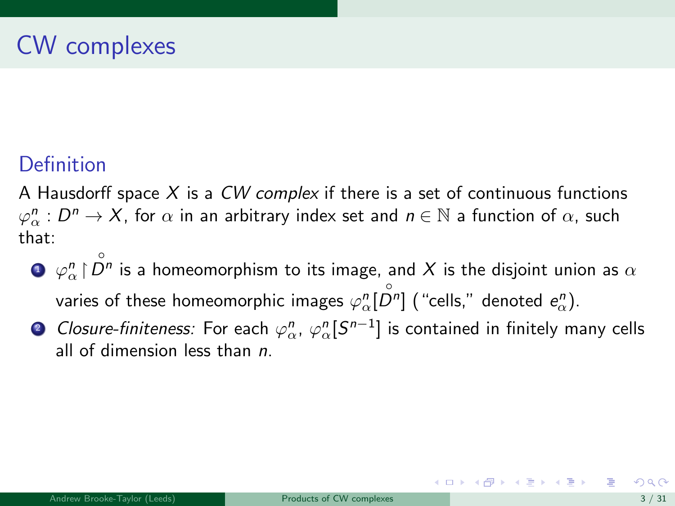### **Definition**

A Hausdorff space  $X$  is a  $CW$  complex if there is a set of continuous functions  $\varphi^n_\alpha : D^n \to X$ , for  $\alpha$  in an arbitrary index set and  $n \in \mathbb{N}$  a function of  $\alpha$ , such that:

- $\bullet$   $\varphi_{\alpha}^n \restriction \overset{\circ}{\mathcal O}{}^n$  is a homeomorphism to its image, and  $X$  is the disjoint union as  $\alpha$ varies of these homeomorphic images  $\varphi^n_{\alpha}[\stackrel{\circ}{D^n}]$  ("cells," denoted  $e^n_{\alpha}$ ).
- ② Closure-finiteness: For each  $\varphi_\alpha^n$ ,  $\varphi_\alpha^n[S^{n-1}]$  is contained in finitely many cells all of dimension less than n.

イロト イ押 トイヨ トイヨ トー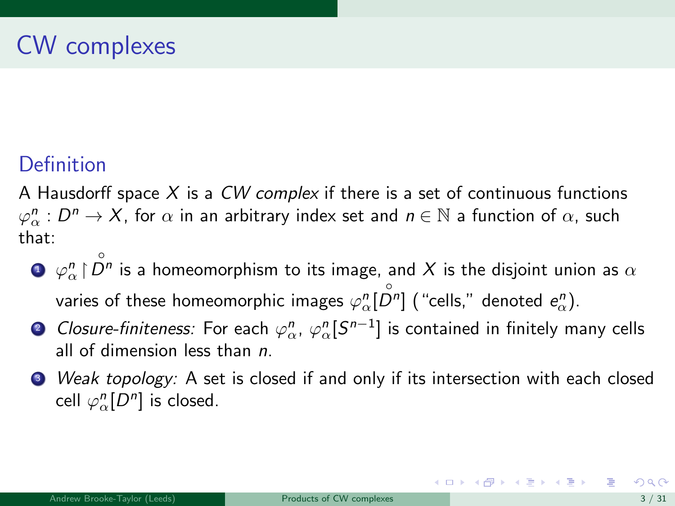### **Definition**

A Hausdorff space  $X$  is a  $CW$  complex if there is a set of continuous functions  $\varphi^n_\alpha : D^n \to X$ , for  $\alpha$  in an arbitrary index set and  $n \in \mathbb{N}$  a function of  $\alpha$ , such that:

- $\bullet$   $\varphi_{\alpha}^n \restriction \overset{\circ}{\mathcal O}{}^n$  is a homeomorphism to its image, and  $X$  is the disjoint union as  $\alpha$ varies of these homeomorphic images  $\varphi^n_{\alpha}[\stackrel{\circ}{D^n}]$  ("cells," denoted  $e^n_{\alpha}$ ).
- ② Closure-finiteness: For each  $\varphi_\alpha^n$ ,  $\varphi_\alpha^n[S^{n-1}]$  is contained in finitely many cells all of dimension less than  $n$ .
- <sup>3</sup> Weak topology: A set is closed if and only if its intersection with each closed cell  $\varphi_\alpha^n[D^n]$  is closed.

K ロンス 御 > ス ヨ > ス ヨ > 一 ヨ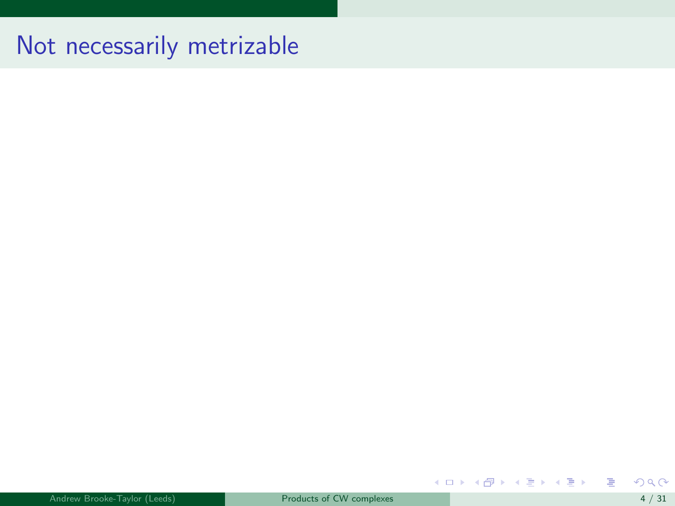## Not necessarily metrizable

重

メロメメ 倒す メミメメ ミメー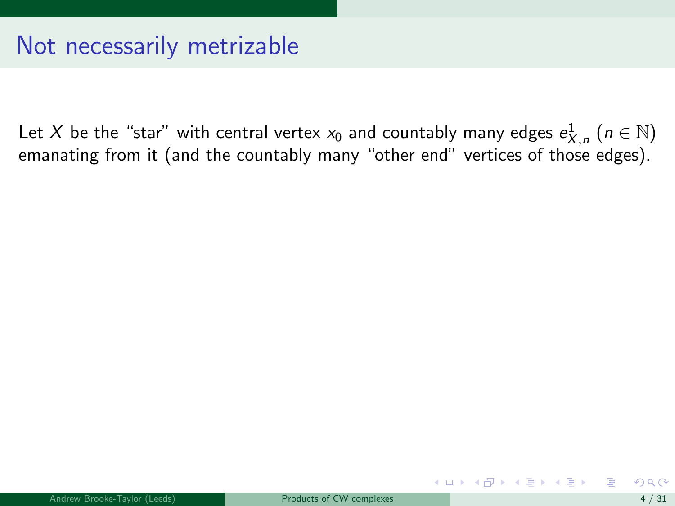Let  $X$  be the "star" with central vertex  $x_0$  and countably many edges  $e^1_{X,\,n}$   $(n\in\mathbb{N})$ emanating from it (and the countably many "other end" vertices of those edges).

メロメ メ御 メメ きょくきょう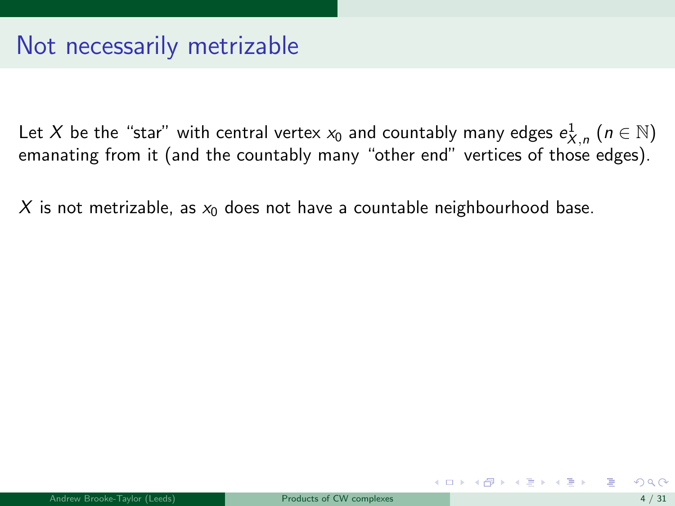Let  $X$  be the "star" with central vertex  $x_0$  and countably many edges  $e^1_{X,\,n}$   $(n\in\mathbb{N})$ emanating from it (and the countably many "other end" vertices of those edges).

X is not metrizable, as  $x_0$  does not have a countable neighbourhood base.

メロト メ御 トメ 君 トメ 君 トー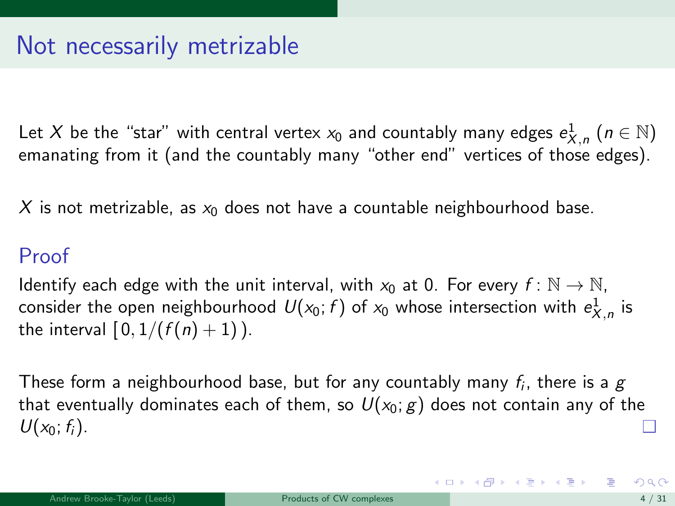Let  $X$  be the "star" with central vertex  $x_0$  and countably many edges  $e^1_{X,\,n}$   $(n\in\mathbb{N})$ emanating from it (and the countably many "other end" vertices of those edges).

X is not metrizable, as  $x_0$  does not have a countable neighbourhood base.

#### Proof

Identify each edge with the unit interval, with  $x_0$  at 0. For every  $f : \mathbb{N} \to \mathbb{N}$ , consider the open neighbourhood  $\mathit{U}(x_0; f)$  of  $x_0$  whose intersection with  $e_{X,n}^1$  is the interval  $[0, 1/(f(n) + 1))$ .

These form a neighbourhood base, but for any countably many  $f_i$ , there is a  $g$ that eventually dominates each of them, so  $U(x_0; g)$  does not contain any of the  $U(x_0; f_i)$ .

イロト 不優 ト 不差 ト 不差 トー 差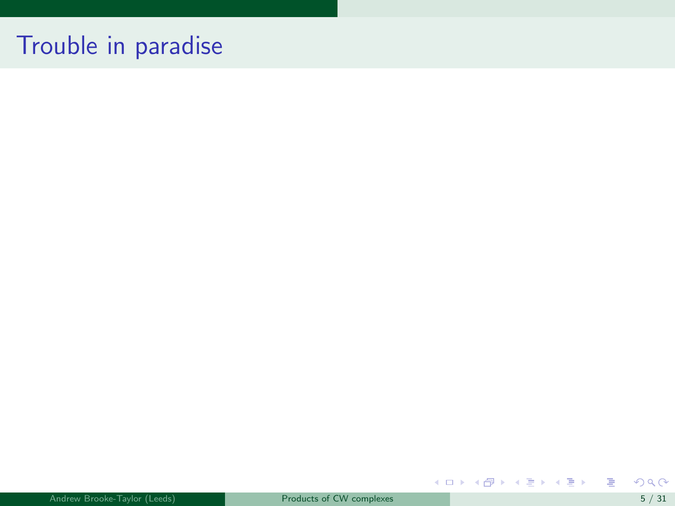## Trouble in paradise

重

メロト メタト メミト メミト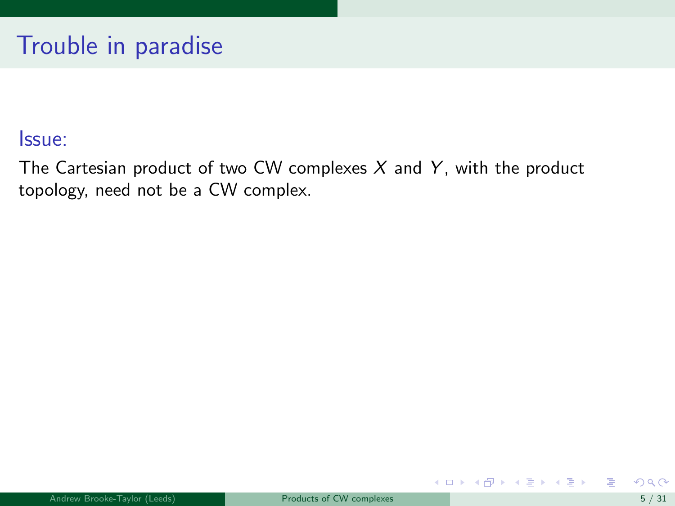The Cartesian product of two CW complexes  $X$  and  $Y$ , with the product topology, need not be a CW complex.

メロメ メ御き メミメ メミメ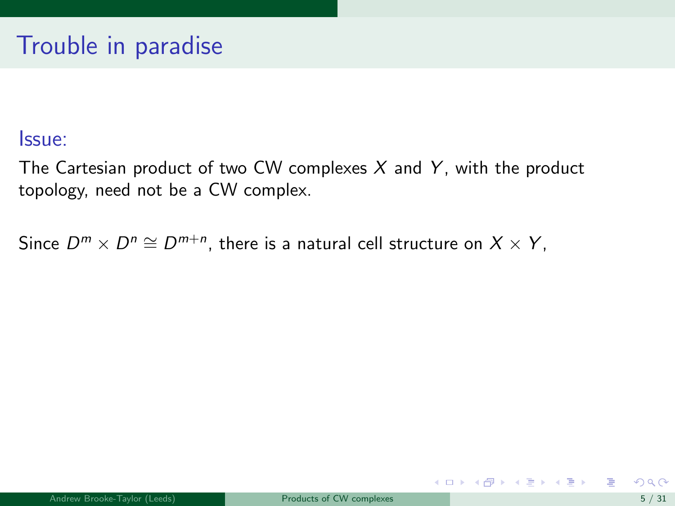The Cartesian product of two CW complexes  $X$  and  $Y$ , with the product topology, need not be a CW complex.

Since  $D^m\times D^n\cong D^{m+n}$ , there is a natural cell structure on  $X\times Y,$ 

**K ロ ▶ | K 何 ▶ | K ヨ ▶ | K ヨ ▶ |**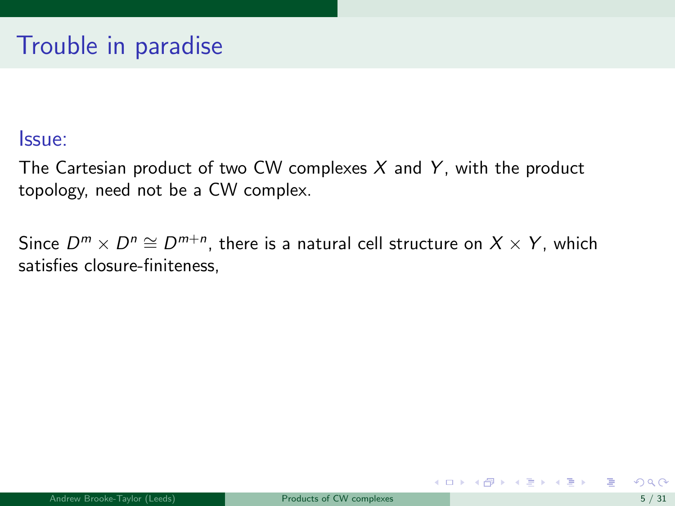The Cartesian product of two CW complexes  $X$  and  $Y$ , with the product topology, need not be a CW complex.

Since  $D^m \times D^n \cong D^{m+n}$ , there is a natural cell structure on  $X \times Y$ , which satisfies closure-finiteness,

イロト イ押ト イヨト イヨト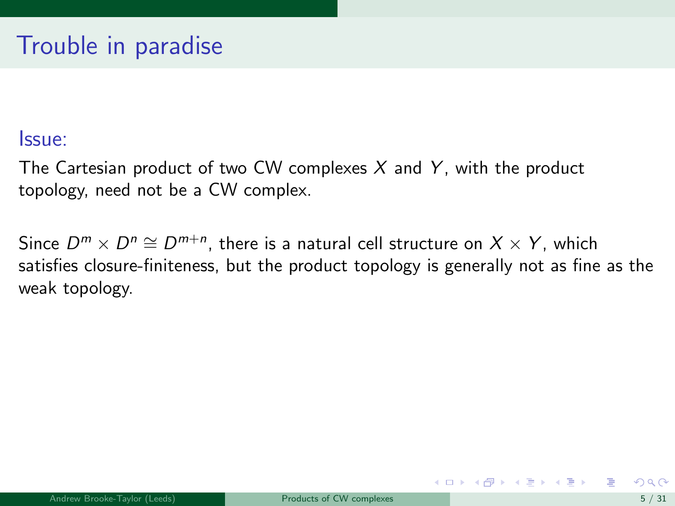The Cartesian product of two CW complexes  $X$  and  $Y$ , with the product topology, need not be a CW complex.

Since  $D^m \times D^n \cong D^{m+n}$ , there is a natural cell structure on  $X \times Y$ , which satisfies closure-finiteness, but the product topology is generally not as fine as the weak topology.

イロト イ押ト イヨト イヨト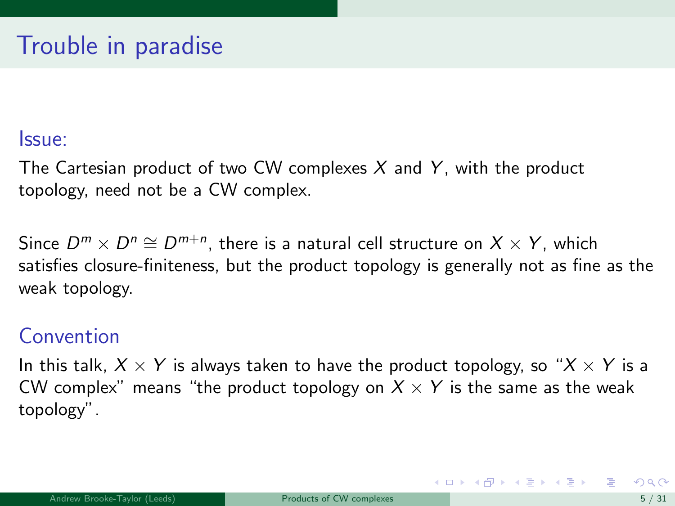The Cartesian product of two CW complexes  $X$  and  $Y$ , with the product topology, need not be a CW complex.

Since  $D^m \times D^n \cong D^{m+n}$ , there is a natural cell structure on  $X \times Y$ , which satisfies closure-finiteness, but the product topology is generally not as fine as the weak topology.

### Convention

In this talk,  $X \times Y$  is always taken to have the product topology, so " $X \times Y$  is a CW complex" means "the product topology on  $X \times Y$  is the same as the weak topology".

K ロンス 御 > ス ヨ > ス ヨ > 一 ヨ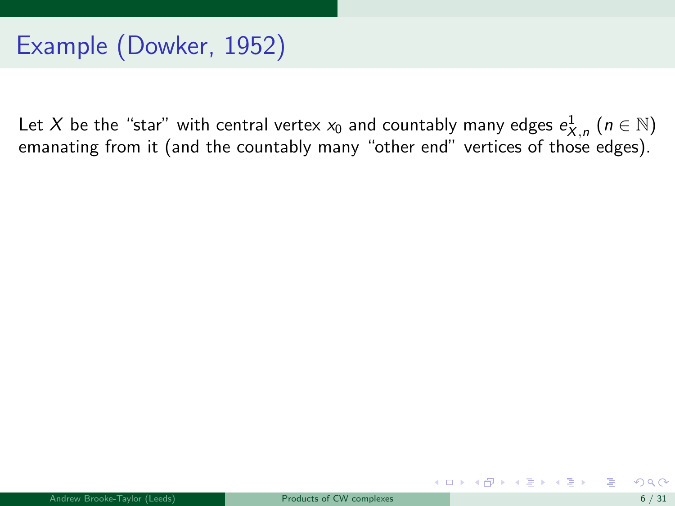Let  $X$  be the "star" with central vertex  $x_0$  and countably many edges  $e^1_{X,\,n}$   $(n\in\mathbb{N})$ emanating from it (and the countably many "other end" vertices of those edges).

メロト メ御 トメ 君 トメ 君 トー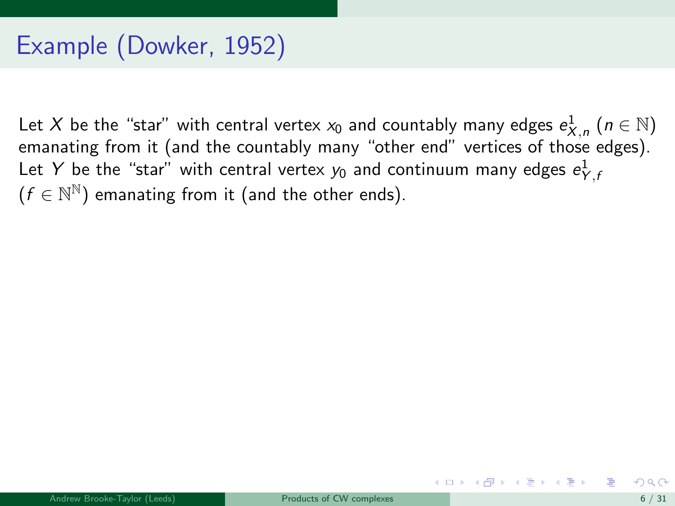Let  $X$  be the "star" with central vertex  $x_0$  and countably many edges  $e^1_{X,\,n}$   $(n\in\mathbb{N})$ emanating from it (and the countably many "other end" vertices of those edges). Let  $Y$  be the "star" with central vertex  $y_0$  and continuum many edges  $e^1_{Y,t}$  $(f \in \mathbb{N}^{\mathbb{N}})$  emanating from it (and the other ends).

メロメ メ都 メメ 君 メメ 君 メー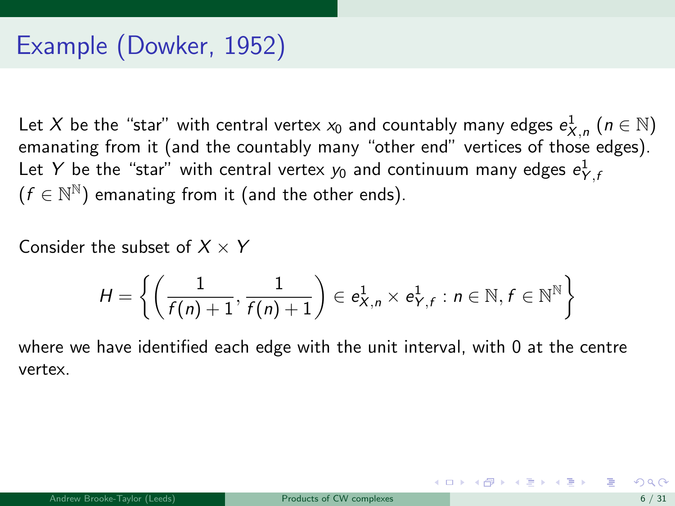Let  $X$  be the "star" with central vertex  $x_0$  and countably many edges  $e^1_{X,\,n}$   $(n\in\mathbb{N})$ emanating from it (and the countably many "other end" vertices of those edges). Let  $Y$  be the "star" with central vertex  $y_0$  and continuum many edges  $e^1_{Y,t}$  $(f \in \mathbb{N}^{\mathbb{N}})$  emanating from it (and the other ends).

Consider the subset of  $X \times Y$ 

$$
H = \left\{ \left( \frac{1}{f(n)+1}, \frac{1}{f(n)+1} \right) \in e_{X,n}^1 \times e_{Y,f}^1 : n \in \mathbb{N}, f \in \mathbb{N}^{\mathbb{N}} \right\}
$$

where we have identified each edge with the unit interval, with 0 at the centre vertex.

メロメ メ都 メメ きょうくぼ メー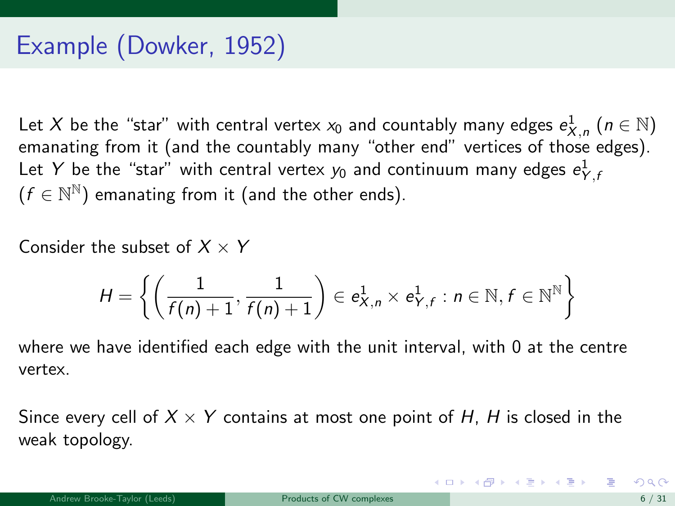<span id="page-20-0"></span>Let  $X$  be the "star" with central vertex  $x_0$  and countably many edges  $e^1_{X,\,n}$   $(n\in\mathbb{N})$ emanating from it (and the countably many "other end" vertices of those edges). Let  $Y$  be the "star" with central vertex  $y_0$  and continuum many edges  $e^1_{Y,t}$  $(f \in \mathbb{N}^{\mathbb{N}})$  emanating from it (and the other ends).

Consider the subset of  $X \times Y$ 

$$
H = \left\{ \left( \frac{1}{f(n)+1}, \frac{1}{f(n)+1} \right) \in e_{X,n}^1 \times e_{Y,f}^1 : n \in \mathbb{N}, f \in \mathbb{N}^{\mathbb{N}} \right\}
$$

where we have identified each edge with the unit interval, with 0 at the centre vertex.

Since every cell of  $X \times Y$  contains at most one point of H, H is closed in the weak topology.

K ロンス 御 > ス ヨ > ス ヨ > 一 ヨ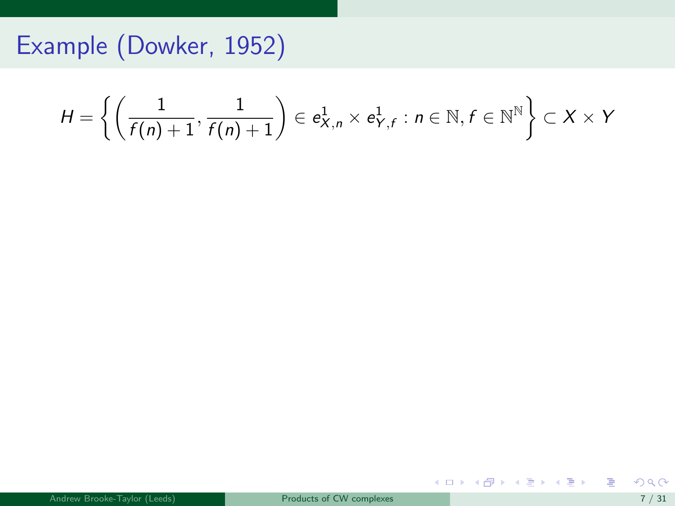<span id="page-21-0"></span>
$$
H = \left\{ \left( \frac{1}{f(n)+1}, \frac{1}{f(n)+1} \right) \in e_{X,n}^1 \times e_{Y,f}^1 : n \in \mathbb{N}, f \in \mathbb{N}^{\mathbb{N}} \right\} \subset X \times Y
$$

重

メロメ メ都 メメ 重 メメ 重 メー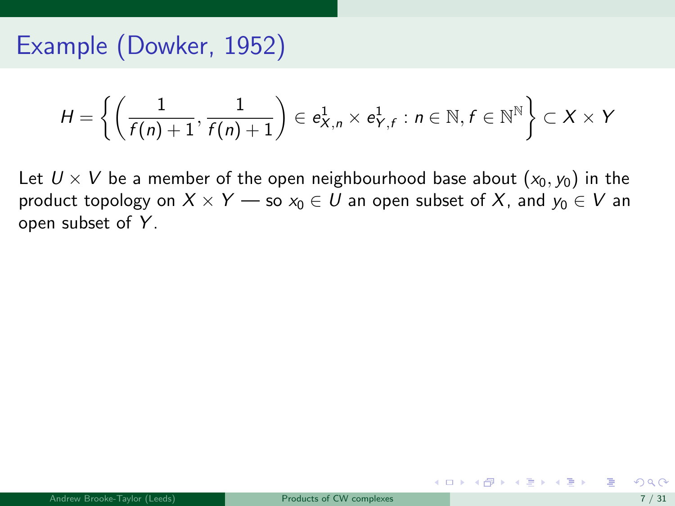$$
H = \left\{ \left( \frac{1}{f(n)+1}, \frac{1}{f(n)+1} \right) \in e_{X,n}^1 \times e_{Y,f}^1 : n \in \mathbb{N}, f \in \mathbb{N}^{\mathbb{N}} \right\} \subset X \times Y
$$

Let  $U \times V$  be a member of the open neighbourhood base about  $(x_0, y_0)$  in the product topology on  $X \times Y$  — so  $x_0 \in U$  an open subset of X, and  $y_0 \in V$  an open subset of Y.

メロメ メ部 メメ きょうくきょう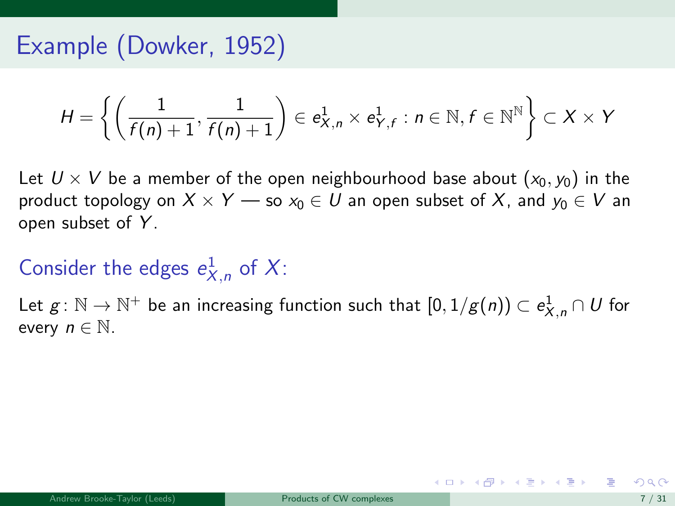$$
H = \left\{ \left( \frac{1}{f(n)+1}, \frac{1}{f(n)+1} \right) \in e_{X,n}^1 \times e_{Y,f}^1 : n \in \mathbb{N}, f \in \mathbb{N}^{\mathbb{N}} \right\} \subset X \times Y
$$

Let  $U \times V$  be a member of the open neighbourhood base about  $(x_0, y_0)$  in the product topology on  $X \times Y$  — so  $x_0 \in U$  an open subset of X, and  $y_0 \in V$  an open subset of Y.

Consider the edges  $e_{X,n}^1$  of X:

Let  $g\colon \mathbb{N}\to \mathbb{N}^+$  be an increasing function such that  $[0,1/g(n))\subset e_{X,n}^1\cap U$  for every  $n \in \mathbb{N}$ .

K ロンス 御 > ス ヨ > ス ヨ > 一 ヨ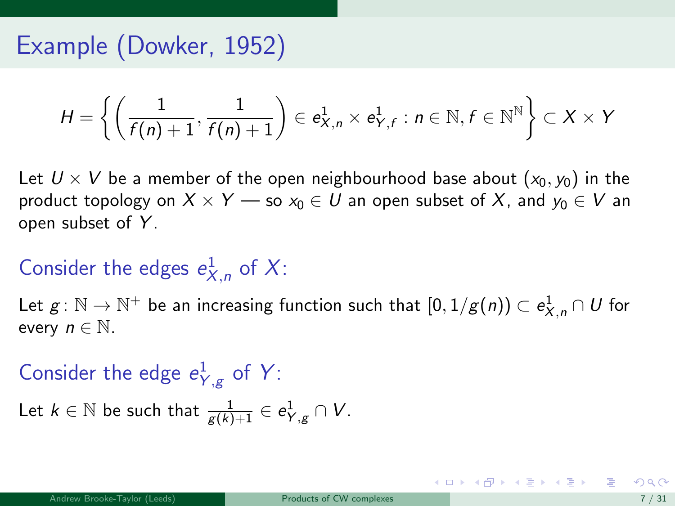<span id="page-24-0"></span>
$$
H = \left\{ \left( \frac{1}{f(n)+1}, \frac{1}{f(n)+1} \right) \in e_{X,n}^1 \times e_{Y,f}^1 : n \in \mathbb{N}, f \in \mathbb{N}^{\mathbb{N}} \right\} \subset X \times Y
$$

Let  $U \times V$  be a member of the open neighbourhood base about  $(x_0, y_0)$  in the product topology on  $X \times Y$  — so  $x_0 \in U$  an open subset of X, and  $y_0 \in V$  an open subset of Y.

# Consider the edges  $e_{X,n}^1$  of X:

Let  $g\colon \mathbb{N}\to \mathbb{N}^+$  be an increasing function such that  $[0,1/g(n))\subset e_{X,n}^1\cap U$  for every  $n \in \mathbb{N}$ .

# Consider the edge  $e_{Y,g}^1$  of Y:

Let  $k \in \mathbb{N}$  be such that  $\frac{1}{g(k)+1} \in e_{Y,g}^1 \cap V$ .

K ロ ▶ K 個 ▶ K 결 ▶ K 결 ▶ ○ 결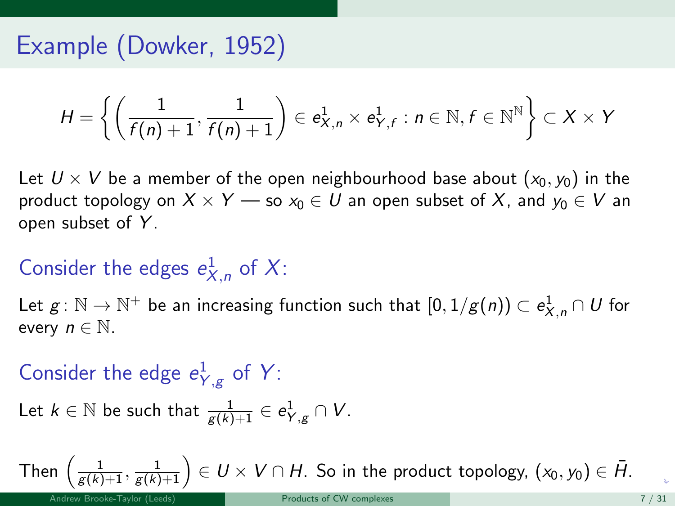<span id="page-25-0"></span>
$$
H = \left\{ \left( \frac{1}{f(n)+1}, \frac{1}{f(n)+1} \right) \in e_{X,n}^1 \times e_{Y,f}^1 : n \in \mathbb{N}, f \in \mathbb{N}^{\mathbb{N}} \right\} \subset X \times Y
$$

Let  $U \times V$  be a member of the open neighbourhood base about  $(x_0, y_0)$  in the product topology on  $X \times Y$  — so  $x_0 \in U$  an open subset of X, and  $y_0 \in V$  an open subset of Y.

# Consider the edges  $e_{X,n}^1$  of X:

Let  $g\colon \mathbb{N}\to \mathbb{N}^+$  be an increasing function such that  $[0,1/g(n))\subset e_{X,n}^1\cap U$  for every  $n \in \mathbb{N}$ .

# Consider the edge  $e_{Y,g}^1$  of Y:

Let 
$$
k \in \mathbb{N}
$$
 be such that  $\frac{1}{g(k)+1} \in e^1_{Y,g} \cap V$ .

Then  $\left(\frac{1}{g(k)+1},\frac{1}{g(k)+1}\right)\in U\times V\cap H.$  $\left(\frac{1}{g(k)+1},\frac{1}{g(k)+1}\right)\in U\times V\cap H.$  $\left(\frac{1}{g(k)+1},\frac{1}{g(k)+1}\right)\in U\times V\cap H.$  $\left(\frac{1}{g(k)+1},\frac{1}{g(k)+1}\right)\in U\times V\cap H.$  $\left(\frac{1}{g(k)+1},\frac{1}{g(k)+1}\right)\in U\times V\cap H.$  So in the prod[uc](#page-24-0)t [to](#page-26-0)p[o](#page-26-0)[l](#page-25-0)o[gy,](#page-0-0)  $(x_0,y_0)\in \bar{H}.$  $(x_0,y_0)\in \bar{H}.$  $(x_0,y_0)\in \bar{H}.$  $(x_0,y_0)\in \bar{H}.$  $(x_0,y_0)\in \bar{H}.$  $(x_0,y_0)\in \bar{H}.$  $(x_0,y_0)\in \bar{H}.$  $(x_0,y_0)\in \bar{H}.$  $(x_0,y_0)\in \bar{H}.$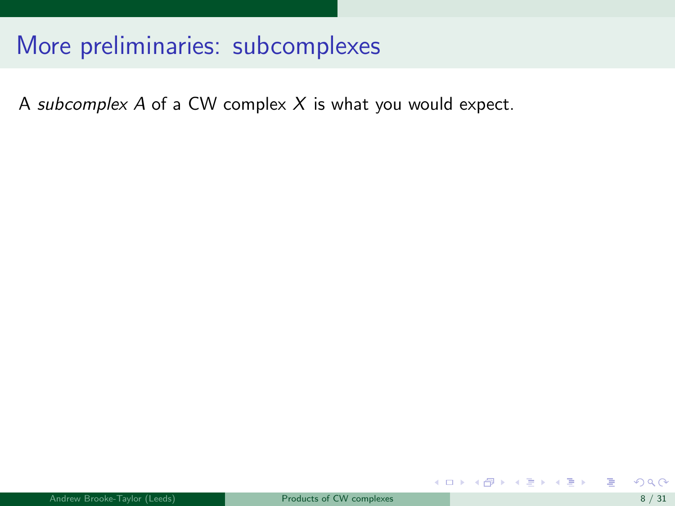<span id="page-26-0"></span>A subcomplex  $A$  of a CW complex  $X$  is what you would expect.

メロメ メ御き メミメ メミメ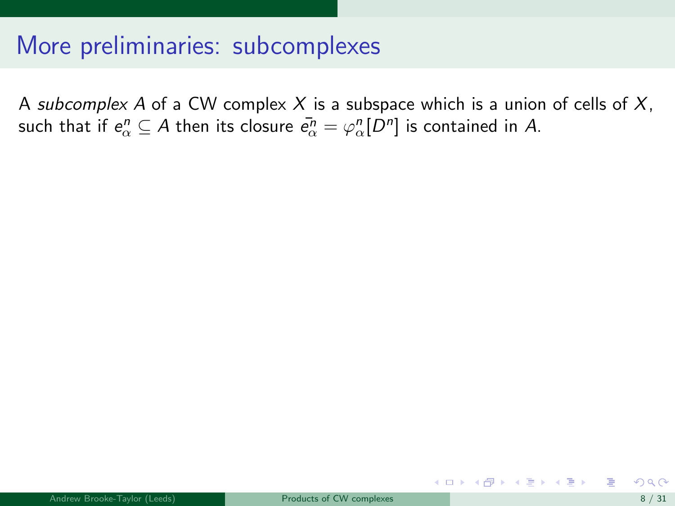A subcomplex A of a CW complex X is a subspace which is a union of cells of  $X$ , such that if  $e^n_\alpha\subseteq A$  then its closure  $\bar{e^n_\alpha}=\varphi^n_\alpha[D^n]$  is contained in  $A.$ 

イロト イ母 ト イヨ ト イヨ トー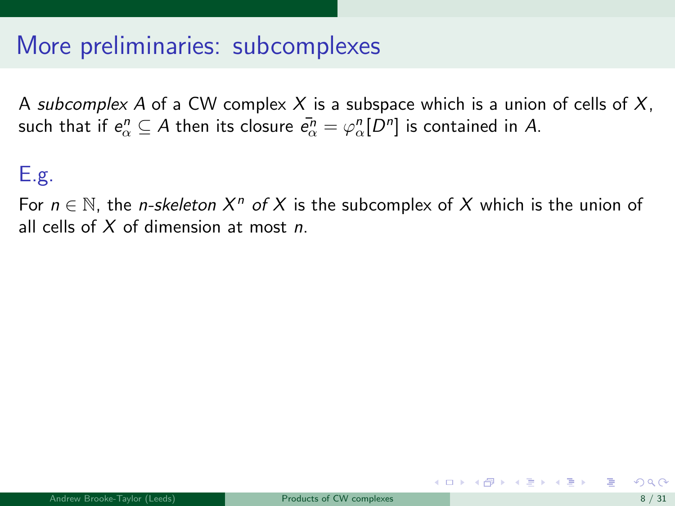A subcomplex A of a CW complex X is a subspace which is a union of cells of X, such that if  $e^n_\alpha\subseteq A$  then its closure  $\bar{e^n_\alpha}=\varphi^n_\alpha[D^n]$  is contained in  $A.$ 

### E.g.

For  $n \in \mathbb{N}$ , the *n-skeleton*  $X^n$  of X is the subcomplex of X which is the union of all cells of  $X$  of dimension at most  $n$ .

イロト イ押ト イヨト イヨト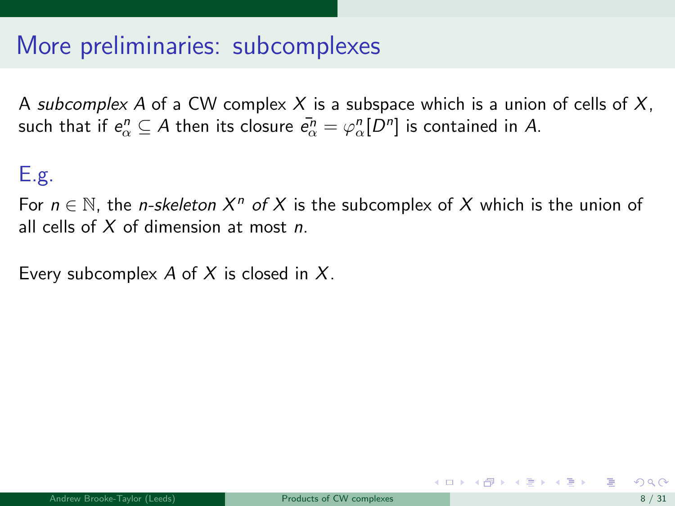A subcomplex A of a CW complex X is a subspace which is a union of cells of X, such that if  $e^n_\alpha\subseteq A$  then its closure  $\bar{e^n_\alpha}=\varphi^n_\alpha[D^n]$  is contained in  $A.$ 

#### E.g.

For  $n \in \mathbb{N}$ , the *n-skeleton*  $X^n$  of X is the subcomplex of X which is the union of all cells of  $X$  of dimension at most  $n$ .

Every subcomplex  $A$  of  $X$  is closed in  $X$ .

イロト イ押ト イヨト イヨト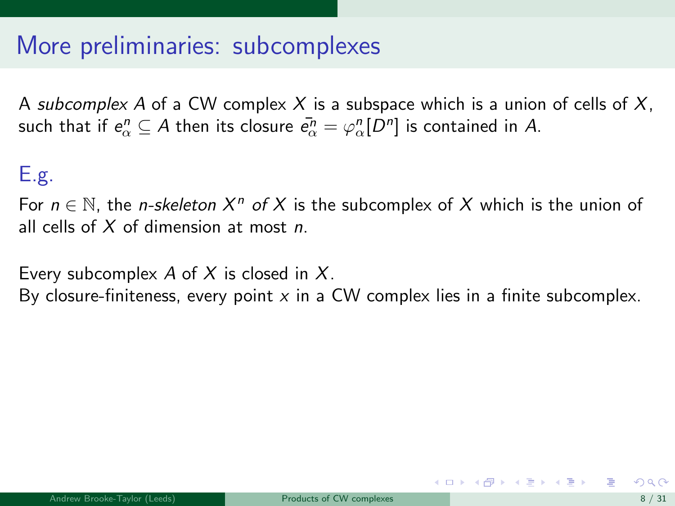A subcomplex A of a CW complex X is a subspace which is a union of cells of X, such that if  $e^n_\alpha\subseteq A$  then its closure  $\bar{e^n_\alpha}=\varphi^n_\alpha[D^n]$  is contained in  $A.$ 

#### E.g.

For  $n \in \mathbb{N}$ , the *n-skeleton*  $X^n$  of X is the subcomplex of X which is the union of all cells of  $X$  of dimension at most  $n$ .

Every subcomplex A of X is closed in  $X$ .

By closure-finiteness, every point  $x$  in a CW complex lies in a finite subcomplex.

**K ロ ▶ | K 何 ▶ | K ヨ ▶ | K ヨ ▶ |**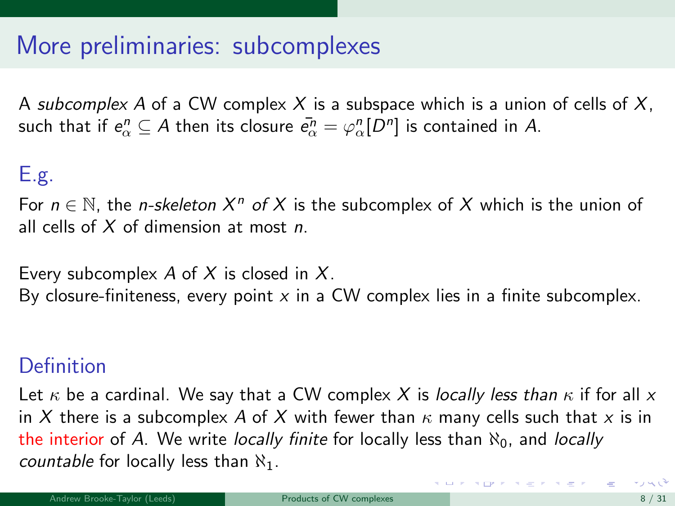A subcomplex A of a CW complex X is a subspace which is a union of cells of X, such that if  $e^n_\alpha\subseteq A$  then its closure  $\bar{e^n_\alpha}=\varphi^n_\alpha[D^n]$  is contained in  $A.$ 

### E.g.

For  $n \in \mathbb{N}$ , the *n-skeleton*  $X^n$  of X is the subcomplex of X which is the union of all cells of  $X$  of dimension at most  $n$ .

Every subcomplex A of X is closed in  $X$ . By closure-finiteness, every point  $x$  in a CW complex lies in a finite subcomplex.

#### **Definition**

Let  $\kappa$  be a cardinal. We say that a CW complex X is locally less than  $\kappa$  if for all x in X there is a subcomplex A of X with fewer than  $\kappa$  many cells such that x is in the interior of A. We write locally finite for locally less than  $\aleph_0$ , and locally *countable* for locally less than  $\aleph_1$ .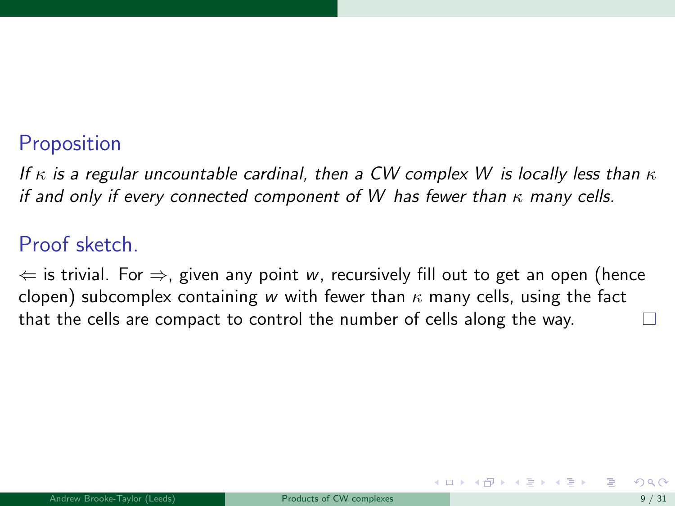### **Proposition**

If  $\kappa$  is a regular uncountable cardinal, then a CW complex W is locally less than  $\kappa$ if and only if every connected component of W has fewer than  $\kappa$  many cells.

#### Proof sketch.

 $\Leftarrow$  is trivial. For  $\Rightarrow$ , given any point w, recursively fill out to get an open (hence clopen) subcomplex containing w with fewer than  $\kappa$  many cells, using the fact that the cells are compact to control the number of cells along the way.

メロト メ何ト メミト メミト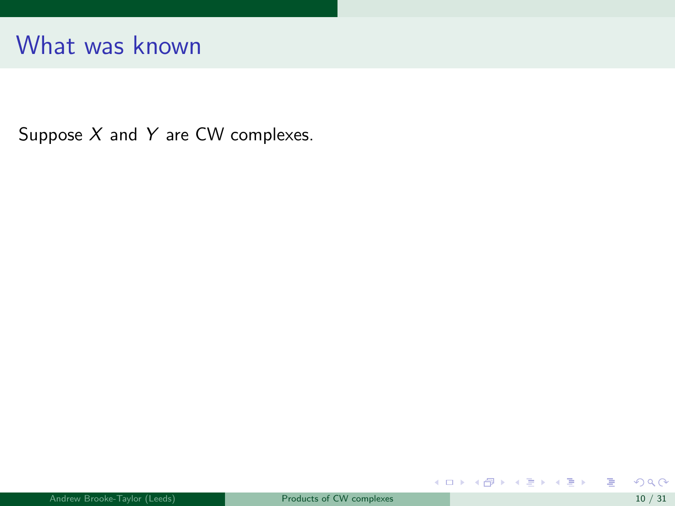Suppose  $X$  and  $Y$  are CW complexes.

重

メロト メタト メミト メミト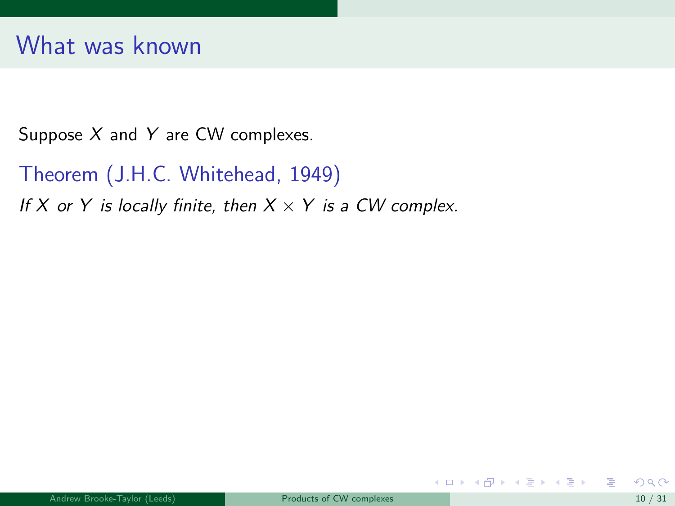Suppose  $X$  and  $Y$  are CW complexes.

Theorem (J.H.C. Whitehead, 1949)

If X or Y is locally finite, then  $X \times Y$  is a CW complex.

メロメ メ御き メミメ メミメ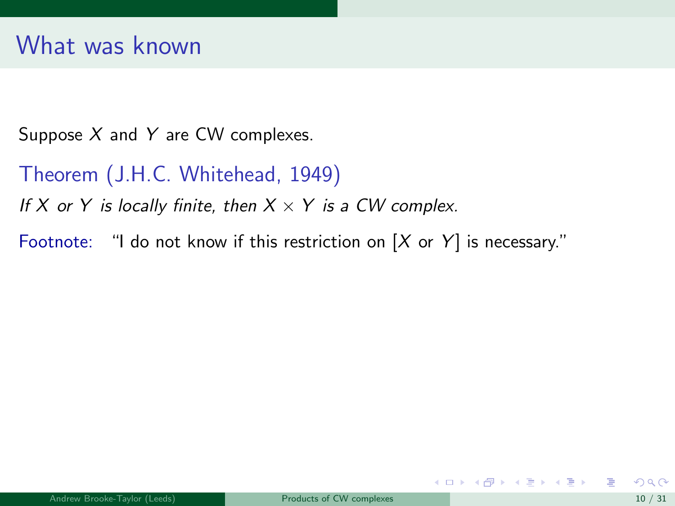Suppose  $X$  and  $Y$  are CW complexes.

Theorem (J.H.C. Whitehead, 1949)

If X or Y is locally finite, then  $X \times Y$  is a CW complex.

Footnote: "I do not know if this restriction on  $[X \text{ or } Y]$  is necessary."

メロメ メ御き メミメ メミメー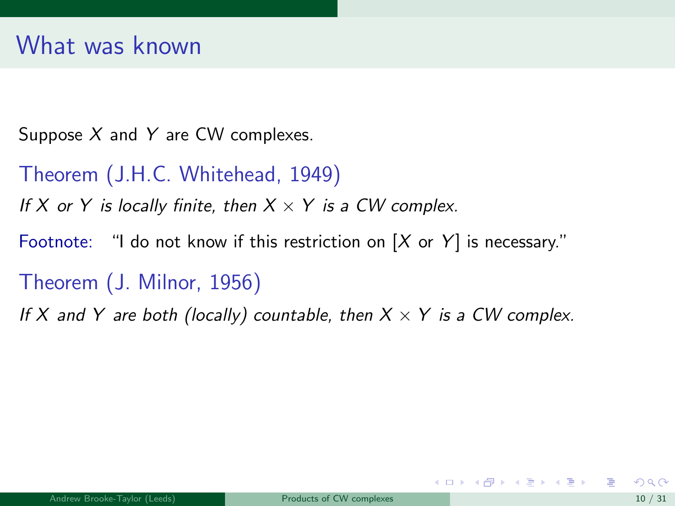Suppose  $X$  and  $Y$  are CW complexes.

Theorem (J.H.C. Whitehead, 1949)

If X or Y is locally finite, then  $X \times Y$  is a CW complex.

Footnote: "I do not know if this restriction on  $[X \text{ or } Y]$  is necessary."

Theorem (J. Milnor, 1956)

If X and Y are both (locally) countable, then  $X \times Y$  is a CW complex.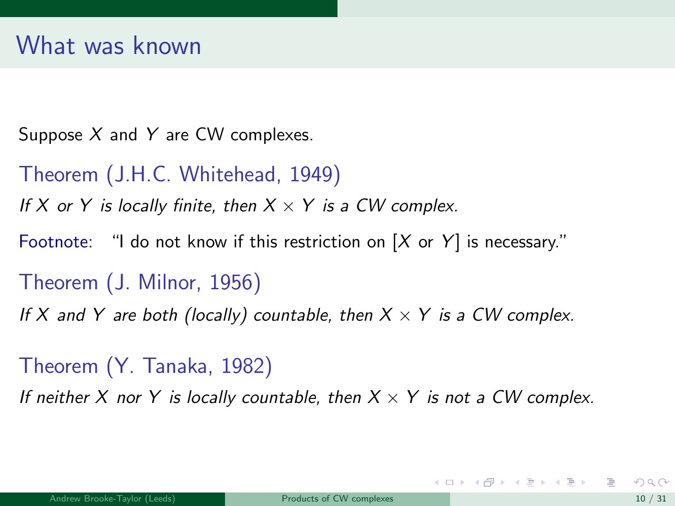Suppose  $X$  and  $Y$  are CW complexes.

Theorem (J.H.C. Whitehead, 1949)

If X or Y is locally finite, then  $X \times Y$  is a CW complex.

Footnote: "I do not know if this restriction on  $[X \text{ or } Y]$  is necessary."

Theorem (J. Milnor, 1956)

If X and Y are both (locally) countable, then  $X \times Y$  is a CW complex.

Theorem (Y. Tanaka, 1982)

If neither X nor Y is locally countable, then  $X \times Y$  is not a CW complex.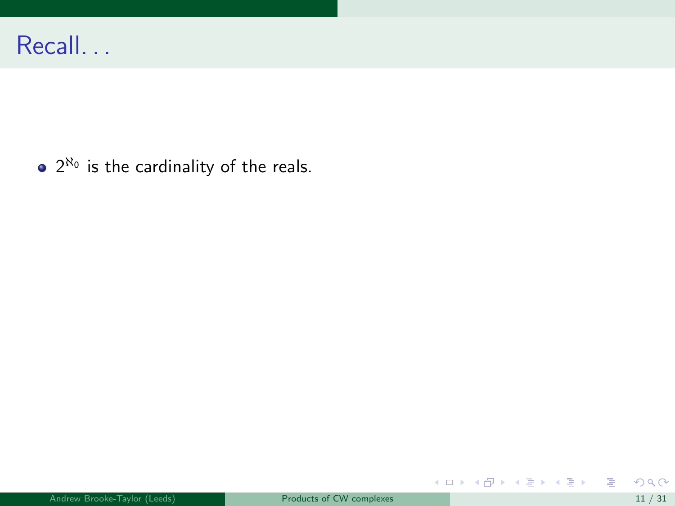$2^{\aleph_0}$  is the cardinality of the reals.

重

メロトメ 伊 トメ 重 トメ 重 トー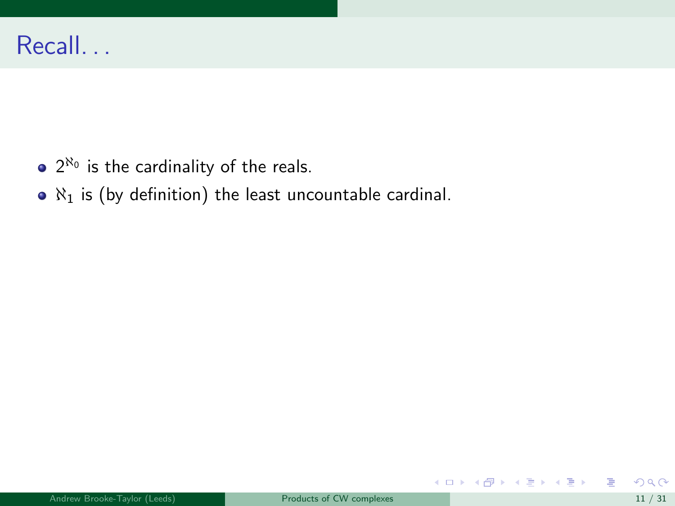- $2^{\aleph_0}$  is the cardinality of the reals.
- $\bullet$   $\aleph_1$  is (by definition) the least uncountable cardinal.

活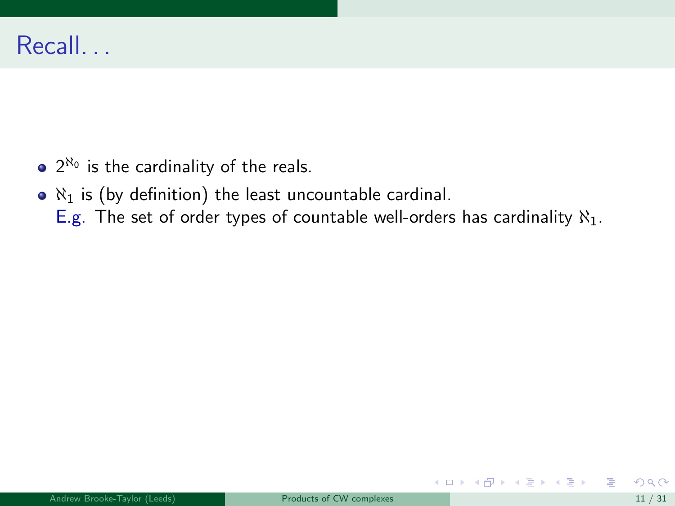- $2^{\aleph_0}$  is the cardinality of the reals.
- $\bullet$   $\aleph_1$  is (by definition) the least uncountable cardinal.
	- E.g. The set of order types of countable well-orders has cardinality  $\aleph_1$ .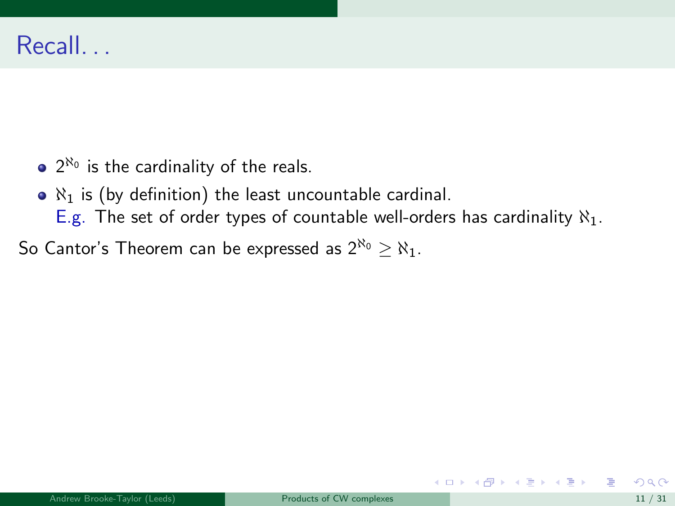- $2^{\aleph_0}$  is the cardinality of the reals.
- $\bullet$   $\aleph_1$  is (by definition) the least uncountable cardinal.
	- E.g. The set of order types of countable well-orders has cardinality  $\aleph_1$ .
- So Cantor's Theorem can be expressed as  $2^{\aleph_0} \ge \aleph_1$ .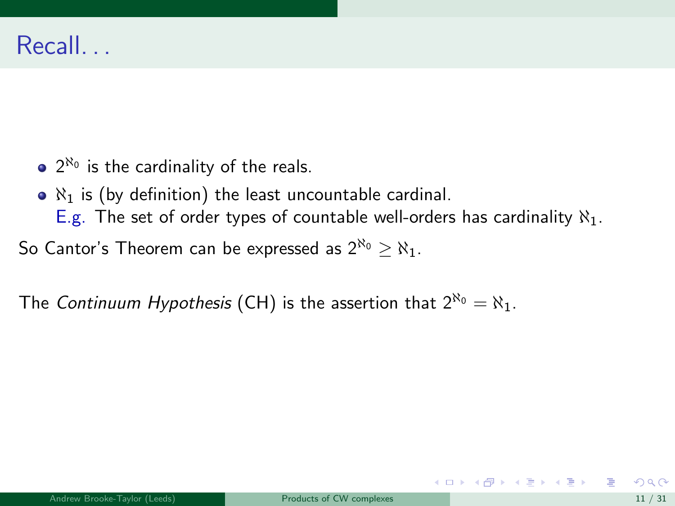- $2^{\aleph_0}$  is the cardinality of the reals.
- $\bullet$   $\aleph_1$  is (by definition) the least uncountable cardinal.
	- E.g. The set of order types of countable well-orders has cardinality  $\aleph_1$ .
- So Cantor's Theorem can be expressed as  $2^{\aleph_0} \ge \aleph_1$ .

The Continuum Hypothesis (CH) is the assertion that  $2^{\aleph_0} = \aleph_1$ .

イロト イ押 トイヨ トイヨ トー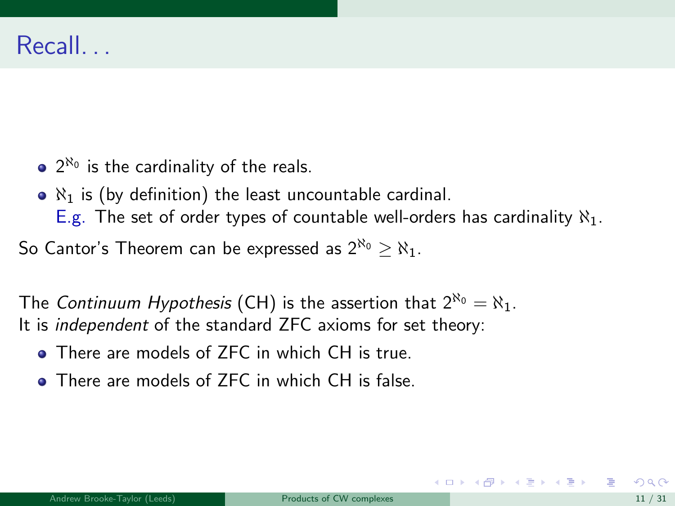- $2^{\aleph_0}$  is the cardinality of the reals.
- $\bullet$   $\aleph_1$  is (by definition) the least uncountable cardinal.
	- E.g. The set of order types of countable well-orders has cardinality  $\aleph_1$ .

So Cantor's Theorem can be expressed as  $2^{\aleph_0} \ge \aleph_1$ .

The Continuum Hypothesis (CH) is the assertion that  $2^{\aleph_0} = \aleph_1$ . It is independent of the standard ZFC axioms for set theory:

- **There are models of ZFC in which CH is true.**
- **There are models of ZFC in which CH is false**

イロト イ押 トイヨ トイヨ トー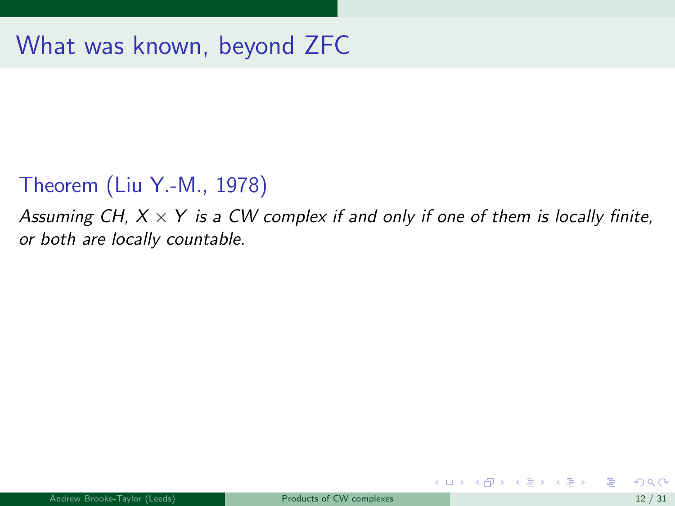#### Theorem (Liu Y.-M., 1978)

Assuming CH,  $X \times Y$  is a CW complex if and only if one of them is locally finite, or both are locally countable.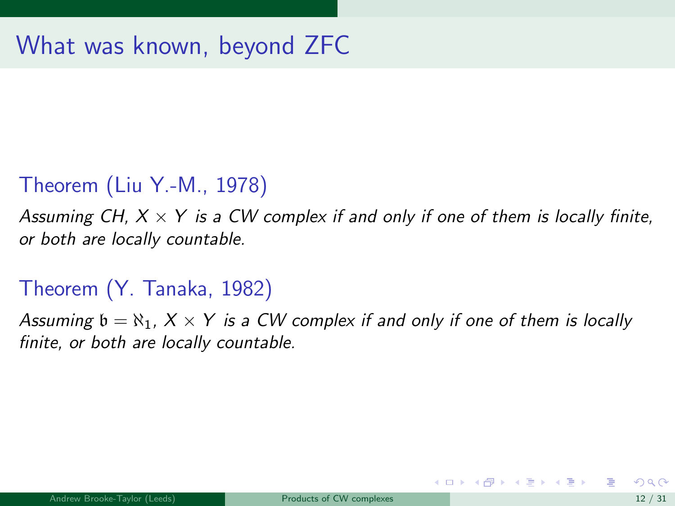#### Theorem (Liu Y.-M., 1978)

Assuming CH,  $X \times Y$  is a CW complex if and only if one of them is locally finite, or both are locally countable.

## Theorem (Y. Tanaka, 1982)

Assuming  $\mathfrak{b} = \mathfrak{R}_1$ ,  $X \times Y$  is a CW complex if and only if one of them is locally finite, or both are locally countable.

メロメ メ御き メミメ メミメー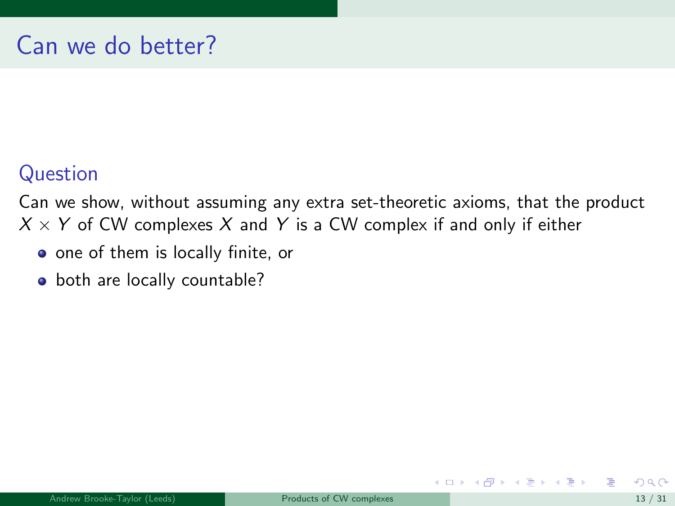## Question

Can we show, without assuming any extra set-theoretic axioms, that the product  $X \times Y$  of CW complexes X and Y is a CW complex if and only if either

- one of them is locally finite, or
- both are locally countable?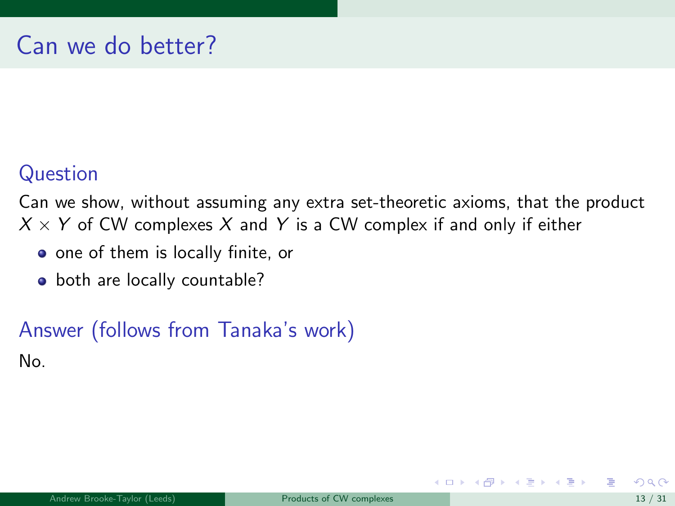## Question

Can we show, without assuming any extra set-theoretic axioms, that the product  $X \times Y$  of CW complexes X and Y is a CW complex if and only if either

- one of them is locally finite, or
- both are locally countable?

# Answer (follows from Tanaka's work) No.

イロト イ押 トイヨ トイヨ トー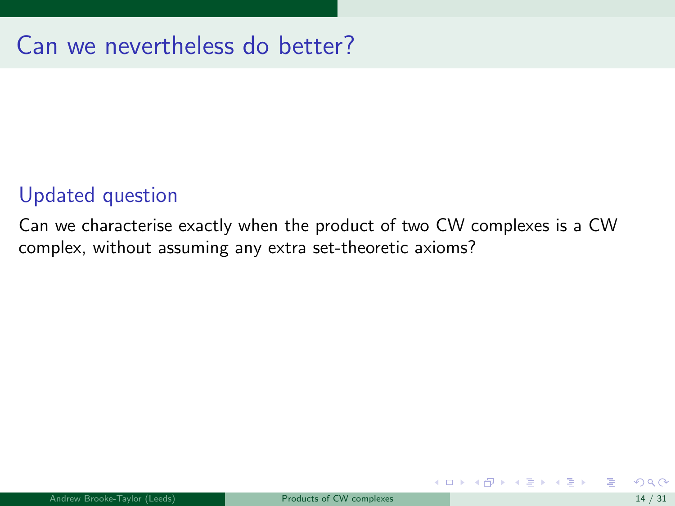#### Updated question

Can we characterise exactly when the product of two CW complexes is a CW complex, without assuming any extra set-theoretic axioms?

イロト イ押 トイヨ トイヨ トー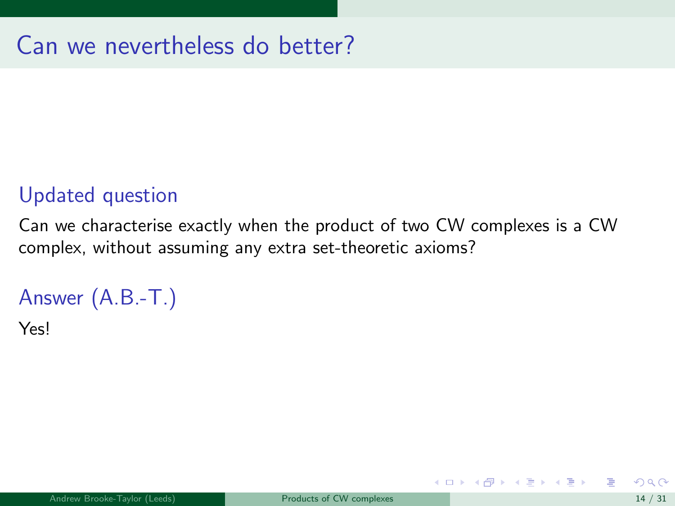### Updated question

Can we characterise exactly when the product of two CW complexes is a CW complex, without assuming any extra set-theoretic axioms?

## Answer (A.B.-T.)

Yes!

イロト イ押ト イヨト イヨト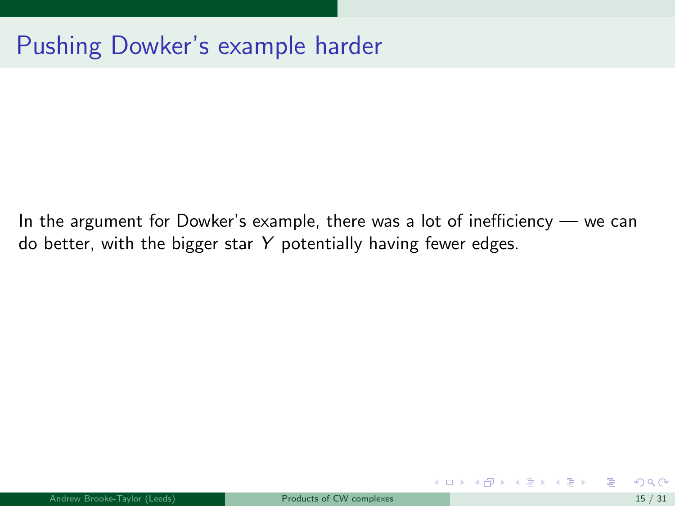In the argument for Dowker's example, there was a lot of inefficiency — we can do better, with the bigger star  $Y$  potentially having fewer edges.

イロト イ押 トイヨ トイヨト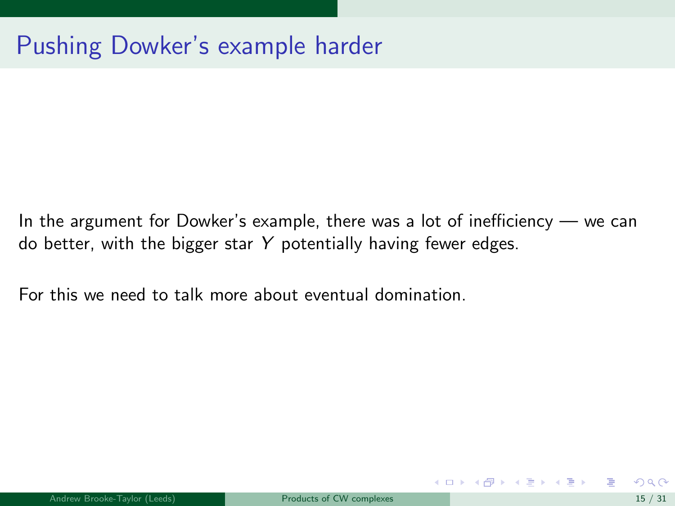In the argument for Dowker's example, there was a lot of inefficiency — we can do better, with the bigger star  $Y$  potentially having fewer edges.

For this we need to talk more about eventual domination.

イロト イ押 トイヨ トイヨ トー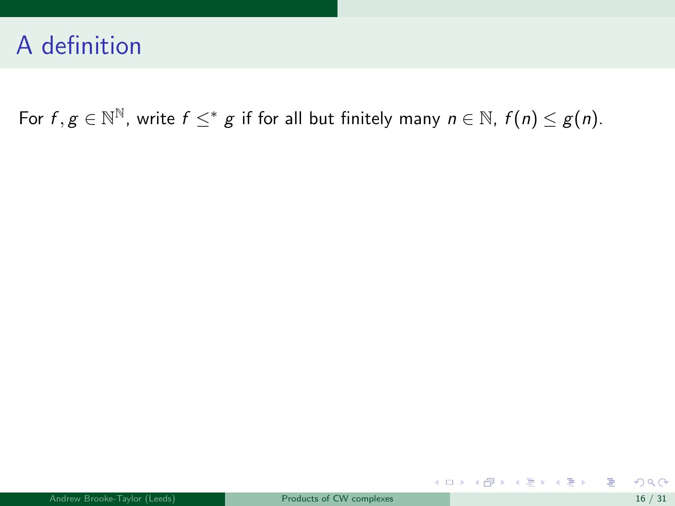For  $f, g \in \mathbb{N}^{\mathbb{N}}$ , write  $f \leq^* g$  if for all but finitely many  $n \in \mathbb{N}$ ,  $f(n) \leq g(n)$ .

重

メロメメ 倒す メミメメ ミメー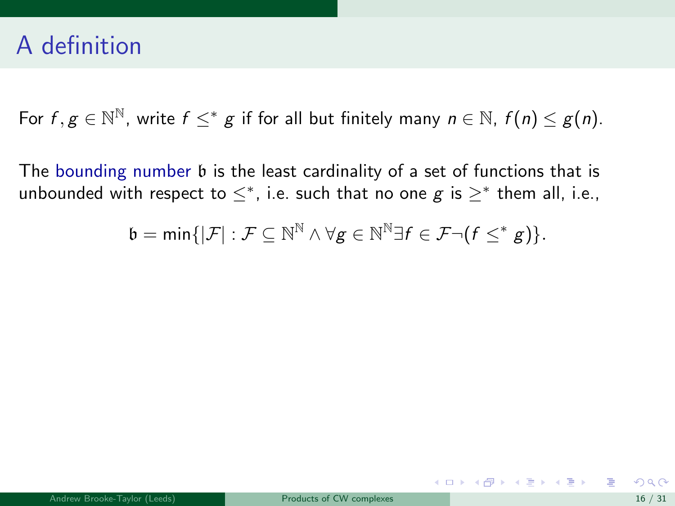For  $f, g \in \mathbb{N}^{\mathbb{N}}$ , write  $f \leq^* g$  if for all but finitely many  $n \in \mathbb{N}$ ,  $f(n) \leq g(n)$ .

The bounding number b is the least cardinality of a set of functions that is unbounded with respect to  $\leq^*$ , i.e. such that no one  $g$  is  $\geq^*$  them all, i.e.,

$$
\mathfrak{b}=\text{min}\{|\mathcal{F}|:\mathcal{F}\subseteq \mathbb{N}^{\mathbb{N}} \wedge \forall g\in \mathbb{N}^{\mathbb{N}}\exists f\in \mathcal{F}\neg (f\leq^* g)\}.
$$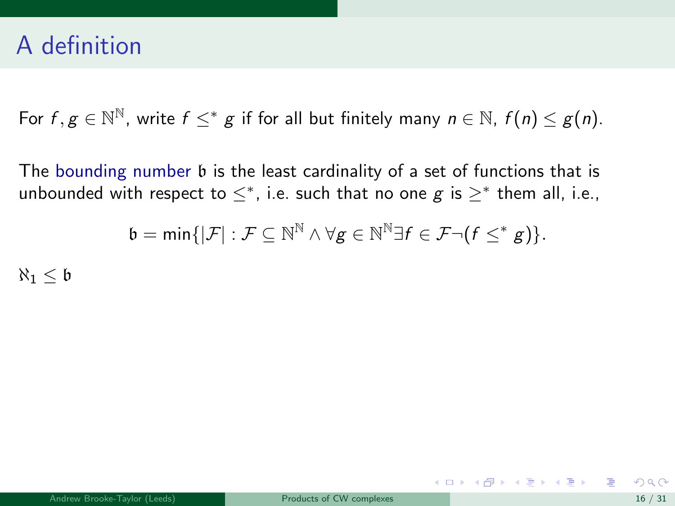For  $f, g \in \mathbb{N}^{\mathbb{N}}$ , write  $f \leq^* g$  if for all but finitely many  $n \in \mathbb{N}$ ,  $f(n) \leq g(n)$ .

The bounding number b is the least cardinality of a set of functions that is unbounded with respect to  $\leq^*$ , i.e. such that no one  $g$  is  $\geq^*$  them all, i.e.,

$$
\mathfrak{b}=\text{min}\{|\mathcal{F}|:\mathcal{F}\subseteq \mathbb{N}^\mathbb{N}\land \forall g\in \mathbb{N}^\mathbb{N}\exists f\in \mathcal{F}\neg (f\leq^* g)\}.
$$

 $\aleph_1 < b$ 

メロメ メ都 メメ きょうくぼ メー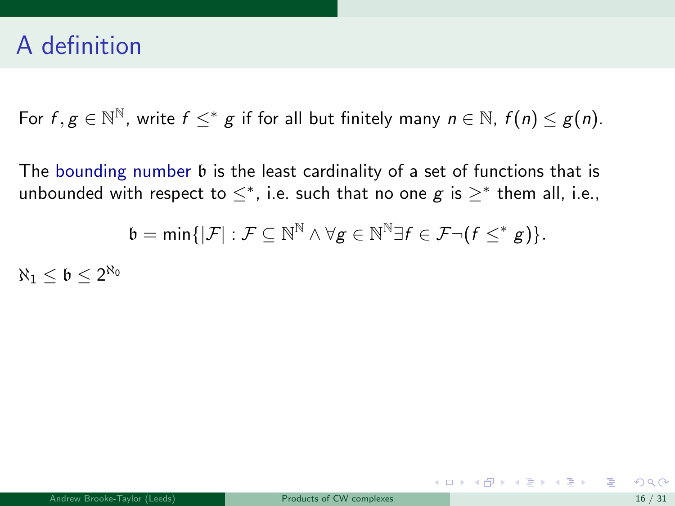For  $f, g \in \mathbb{N}^{\mathbb{N}}$ , write  $f \leq^* g$  if for all but finitely many  $n \in \mathbb{N}$ ,  $f(n) \leq g(n)$ .

The bounding number b is the least cardinality of a set of functions that is unbounded with respect to  $\leq^*$ , i.e. such that no one  $g$  is  $\geq^*$  them all, i.e.,

$$
\mathfrak{b}=\text{min}\{|\mathcal{F}|:\mathcal{F}\subseteq \mathbb{N}^\mathbb{N}\land \forall g\in \mathbb{N}^\mathbb{N}\exists f\in \mathcal{F}\neg (f\leq^* g)\}.
$$

 $\aleph_1 \leq \mathfrak{b} \leq 2^{\aleph_0}$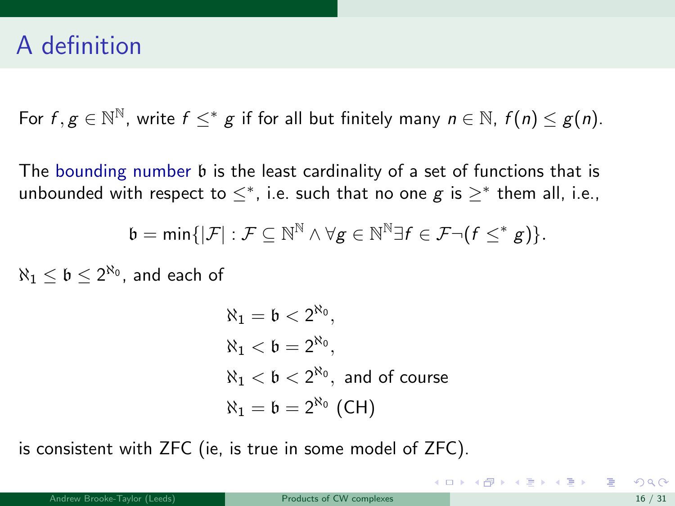For  $f, g \in \mathbb{N}^{\mathbb{N}}$ , write  $f \leq^* g$  if for all but finitely many  $n \in \mathbb{N}$ ,  $f(n) \leq g(n)$ .

The bounding number b is the least cardinality of a set of functions that is unbounded with respect to  $\leq^*$ , i.e. such that no one  $g$  is  $\geq^*$  them all, i.e.,

$$
\mathfrak{b}=\text{min}\{|\mathcal{F}|:\mathcal{F}\subseteq \mathbb{N}^\mathbb{N}\wedge \forall g\in \mathbb{N}^\mathbb{N}\exists f\in \mathcal{F}\neg (f\leq^* g)\}.
$$

 $\aleph_{1} \leq \mathfrak{b} \leq 2^{\aleph_{0}},$  and each of

$$
\begin{aligned} &\aleph_1 = \mathfrak{b} < 2^{\aleph_0}, \\ &\aleph_1 < \mathfrak{b} = 2^{\aleph_0}, \\ &\aleph_1 < \mathfrak{b} < 2^{\aleph_0}, \text{ and of course} \\ &\aleph_1 = \mathfrak{b} = 2^{\aleph_0} \text{ (CH)} \end{aligned}
$$

is consistent with ZFC (ie, is true in some model of ZFC).

イロト 不優 ト 不思 ト 不思 トー 理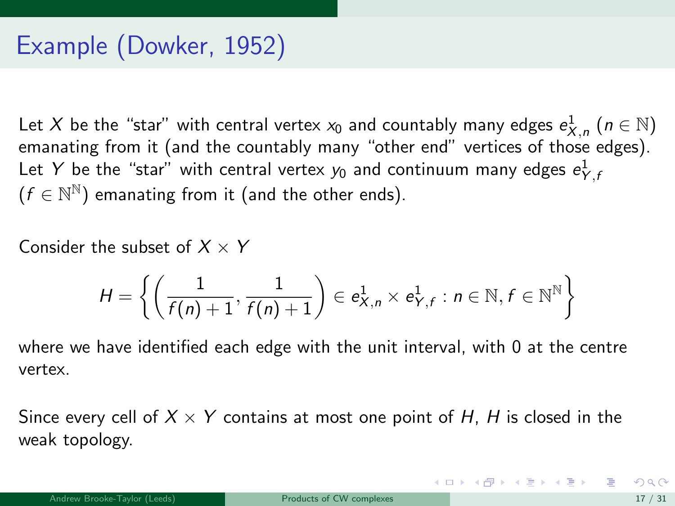Let  $X$  be the "star" with central vertex  $x_0$  and countably many edges  $e^1_{X,\,n}$   $(n\in\mathbb{N})$ emanating from it (and the countably many "other end" vertices of those edges). Let  $Y$  be the "star" with central vertex  $y_0$  and continuum many edges  $e^1_{Y,t}$  $(f \in \mathbb{N}^{\mathbb{N}})$  emanating from it (and the other ends).

Consider the subset of  $X \times Y$ 

$$
H = \left\{ \left( \frac{1}{f(n)+1}, \frac{1}{f(n)+1} \right) \in e_{X,n}^1 \times e_{Y,f}^1 : n \in \mathbb{N}, f \in \mathbb{N}^{\mathbb{N}} \right\}
$$

where we have identified each edge with the unit interval, with 0 at the centre vertex.

Since every cell of  $X \times Y$  contains at most one point of H, H is closed in the weak topology.

K ロンス 御 > ス ヨ > ス ヨ > 一 ヨ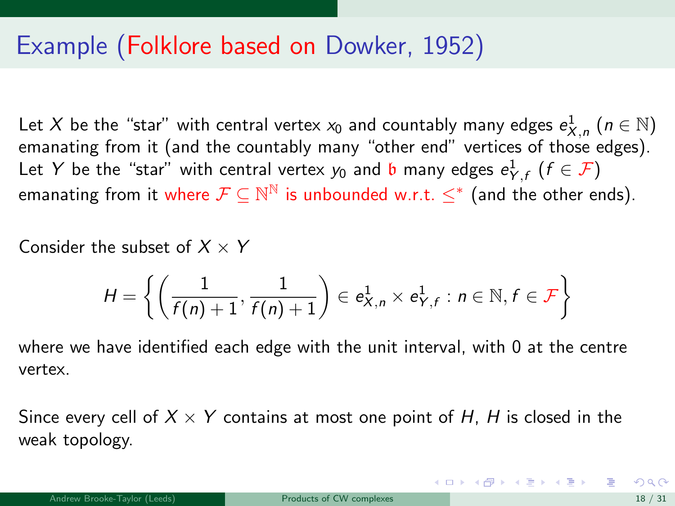## <span id="page-58-0"></span>Example (Folklore based on Dowker, 1952)

Let  $X$  be the "star" with central vertex  $x_0$  and countably many edges  $e^1_{X,\,n}$   $(n\in\mathbb{N})$ emanating from it (and the countably many "other end" vertices of those edges). Let  $Y$  be the "star" with central vertex  $y_0$  and  ${\mathfrak b}$  many edges  $e^1_{Y,f}$   $(f\in {\mathcal F})$ emanating from it where  $\mathcal{F} \subseteq \mathbb{N}^\mathbb{N}$  is unbounded w.r.t.  $\leq^*$  (and the other ends).

Consider the subset of  $X \times Y$ 

$$
H = \left\{ \left( \frac{1}{f(n)+1}, \frac{1}{f(n)+1} \right) \in e_{X,n}^1 \times e_{Y,f}^1 : n \in \mathbb{N}, f \in \mathcal{F} \right\}
$$

where we have identified each edge with the unit interval, with 0 at the centre vertex.

Since every cell of  $X \times Y$  contains at most one point of H, H is closed in the weak topology.

イロト 不優 ト 不思 ト 不思 トー 理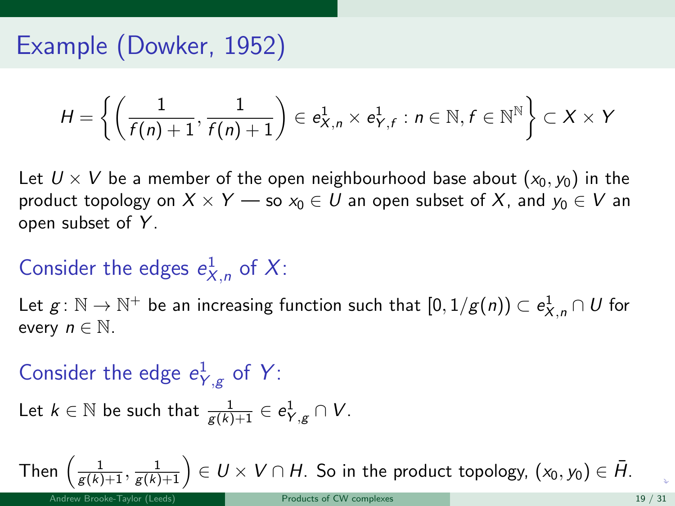# <span id="page-59-0"></span>Example (Dowker, 1952)

$$
H = \left\{ \left( \frac{1}{f(n)+1}, \frac{1}{f(n)+1} \right) \in e_{X,n}^1 \times e_{Y,f}^1 : n \in \mathbb{N}, f \in \mathbb{N}^{\mathbb{N}} \right\} \subset X \times Y
$$

Let  $U \times V$  be a member of the open neighbourhood base about  $(x_0, y_0)$  in the product topology on  $X \times Y$  — so  $x_0 \in U$  an open subset of X, and  $y_0 \in V$  an open subset of Y.

# Consider the edges  $e_{X,n}^1$  of X:

Let  $g\colon \mathbb{N}\to \mathbb{N}^+$  be an increasing function such that  $[0,1/g(n))\subset e_{X,n}^1\cap U$  for every  $n \in \mathbb{N}$ .

# Consider the edge  $e_{Y,g}^1$  of Y:

Let 
$$
k \in \mathbb{N}
$$
 be such that  $\frac{1}{g(k)+1} \in e^1_{Y,g} \cap V$ .

Then  $\left(\frac{1}{g(k)+1},\frac{1}{g(k)+1}\right)\in U\times V\cap H.$  $\left(\frac{1}{g(k)+1},\frac{1}{g(k)+1}\right)\in U\times V\cap H.$  $\left(\frac{1}{g(k)+1},\frac{1}{g(k)+1}\right)\in U\times V\cap H.$  $\left(\frac{1}{g(k)+1},\frac{1}{g(k)+1}\right)\in U\times V\cap H.$  $\left(\frac{1}{g(k)+1},\frac{1}{g(k)+1}\right)\in U\times V\cap H.$  So in the prod[uc](#page-58-0)t [to](#page-60-0)p[ol](#page-59-0)[o](#page-60-0)[gy,](#page-0-0)  $(x_0,y_0)\in \bar{H}.$  $(x_0,y_0)\in \bar{H}.$  $(x_0,y_0)\in \bar{H}.$  $(x_0,y_0)\in \bar{H}.$  $(x_0,y_0)\in \bar{H}.$  $(x_0,y_0)\in \bar{H}.$  $(x_0,y_0)\in \bar{H}.$  $(x_0,y_0)\in \bar{H}.$  $(x_0,y_0)\in \bar{H}.$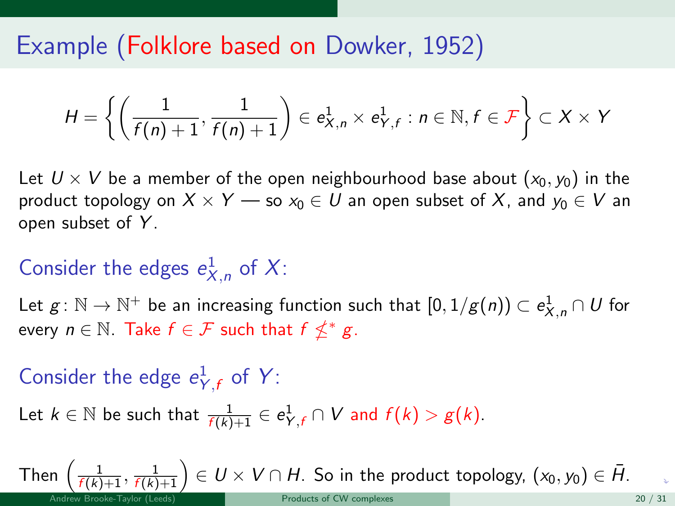<span id="page-60-0"></span>Example (Folklore based on Dowker, 1952)

$$
H = \left\{ \left( \frac{1}{f(n)+1}, \frac{1}{f(n)+1} \right) \in e_{X,n}^1 \times e_{Y,f}^1 : n \in \mathbb{N}, f \in \mathcal{F} \right\} \subset X \times Y
$$

Let  $U \times V$  be a member of the open neighbourhood base about  $(x_0, y_0)$  in the product topology on  $X \times Y$  — so  $x_0 \in U$  an open subset of X, and  $y_0 \in V$  an open subset of Y.

# Consider the edges  $e_{X,n}^1$  of X:

Let  $g\colon \mathbb{N}\to \mathbb{N}^+$  be an increasing function such that  $[0,1/g(n))\subset e_{X,n}^1\cap U$  for every  $n \in \mathbb{N}$ . Take  $f \in \mathcal{F}$  such that  $f \nleq^* g$ .

Consider the edge  $e_{Y,f}^1$  of Y:

Let  $k \in \mathbb{N}$  be such that  $\frac{1}{f(k)+1} \in e^1_{Y,f} \cap V$  and  $f(k) > g(k)$ .

Then  $\left(\frac{1}{f(k)+1},\frac{1}{f(k)+1}\right)\in U\times V\cap H.$  $\left(\frac{1}{f(k)+1},\frac{1}{f(k)+1}\right)\in U\times V\cap H.$  $\left(\frac{1}{f(k)+1},\frac{1}{f(k)+1}\right)\in U\times V\cap H.$  So in the prod[uct](#page-59-0) [to](#page-61-0)p[ol](#page-60-0)[og](#page-61-0)[y,](#page-0-0)  $(x_0,y_0)\in \bar{H}.$  $(x_0,y_0)\in \bar{H}.$  $(x_0,y_0)\in \bar{H}.$  $(x_0,y_0)\in \bar{H}.$  $(x_0,y_0)\in \bar{H}.$  $(x_0,y_0)\in \bar{H}.$  $(x_0,y_0)\in \bar{H}.$  $(x_0,y_0)\in \bar{H}.$  $(x_0,y_0)\in \bar{H}.$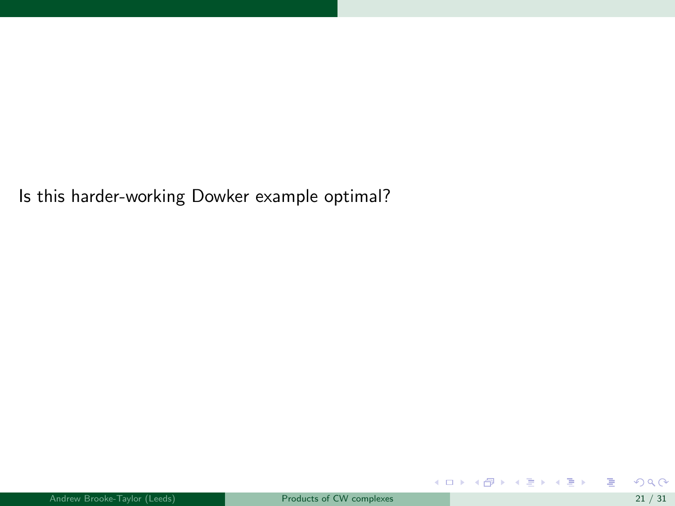<span id="page-61-0"></span>Is this harder-working Dowker example optimal?

重

メロト メ御 トメ きょ メ きょう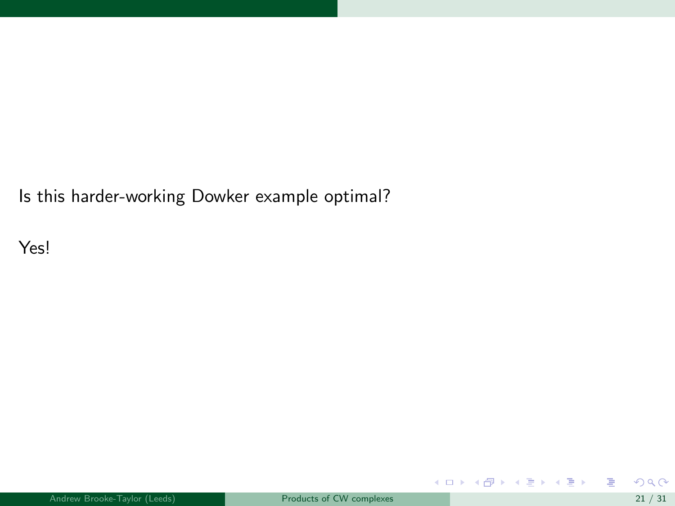Is this harder-working Dowker example optimal?

Yes!

重

メロメ メ都 メメ 老 メメ 差する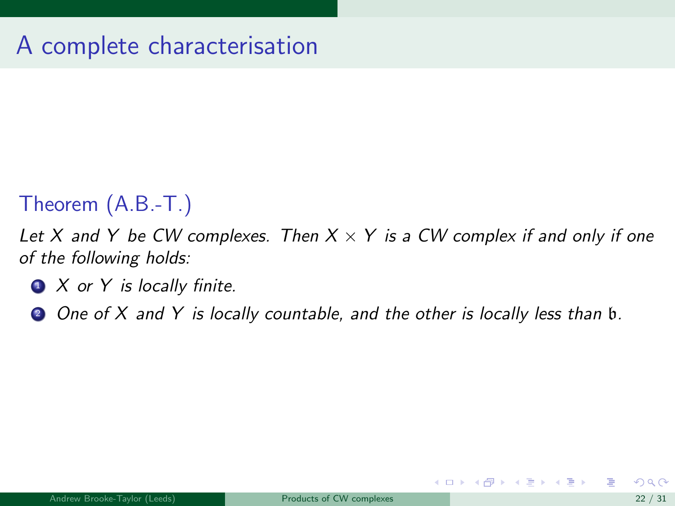## Theorem (A.B.-T.)

Let X and Y be CW complexes. Then  $X \times Y$  is a CW complex if and only if one of the following holds:

- $\bullet$  X or Y is locally finite.
- 2 One of X and Y is locally countable, and the other is locally less than b.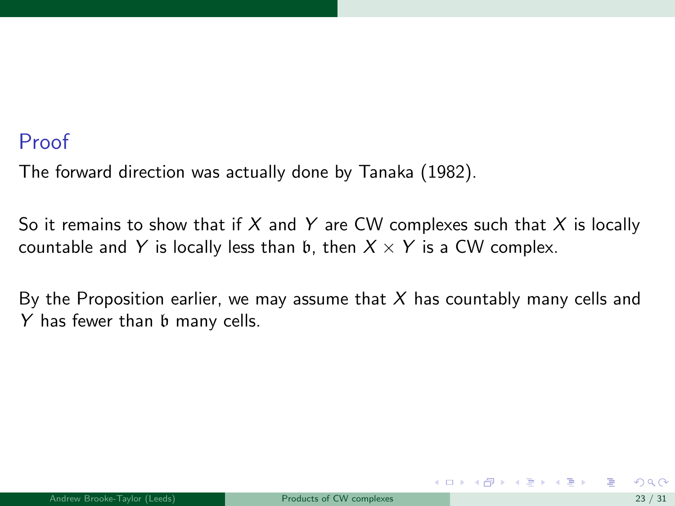#### Proof

The forward direction was actually done by Tanaka (1982).

So it remains to show that if  $X$  and  $Y$  are CW complexes such that  $X$  is locally countable and Y is locally less than b, then  $X \times Y$  is a CW complex.

By the Proposition earlier, we may assume that  $X$  has countably many cells and Y has fewer than  $\mathfrak b$  many cells.

 $\left\{ \begin{array}{ccc} 1 & 0 & 0 \\ 0 & 1 & 0 \end{array} \right.$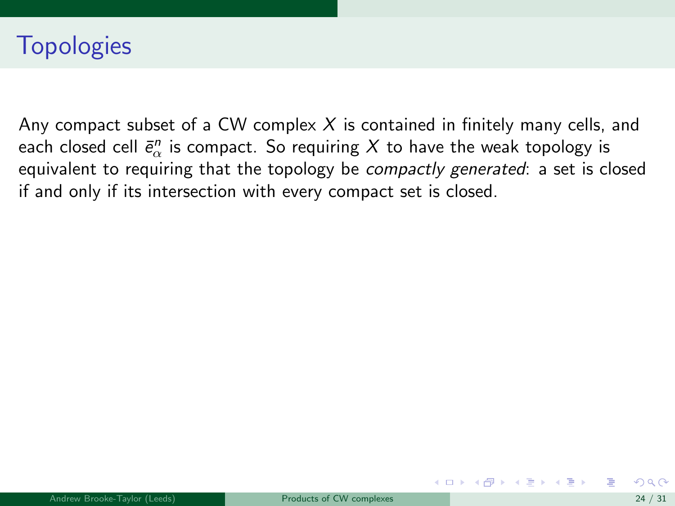# **Topologies**

Any compact subset of a CW complex  $X$  is contained in finitely many cells, and each closed cell  $\bar{e}^n_\alpha$  is compact. So requiring  $X$  to have the weak topology is equivalent to requiring that the topology be compactly generated: a set is closed if and only if its intersection with every compact set is closed.

イロト イ押 トイヨ トイヨ トー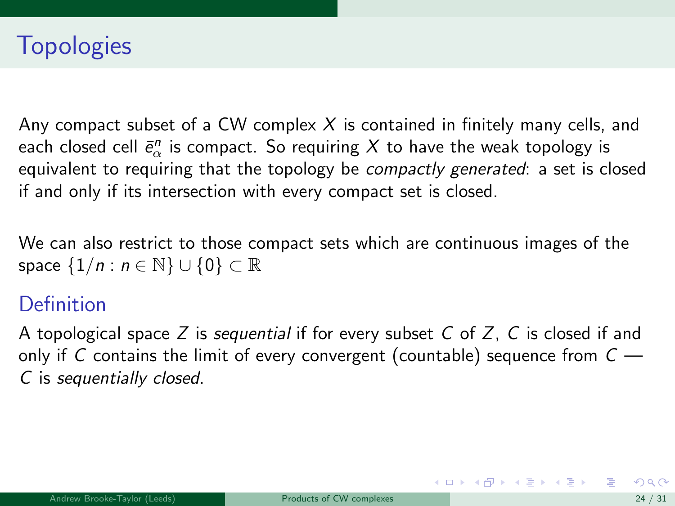Any compact subset of a CW complex  $X$  is contained in finitely many cells, and each closed cell  $\bar{e}^n_\alpha$  is compact. So requiring  $X$  to have the weak topology is equivalent to requiring that the topology be *compactly generated*: a set is closed if and only if its intersection with every compact set is closed.

We can also restrict to those compact sets which are continuous images of the space  $\{1/n : n \in \mathbb{N}\} \cup \{0\} \subset \mathbb{R}$ 

### **Definition**

A topological space Z is sequential if for every subset C of Z, C is closed if and only if C contains the limit of every convergent (countable) sequence from  $C -$ C is sequentially closed.

メロメ メ都 メメ きょうくぼ メー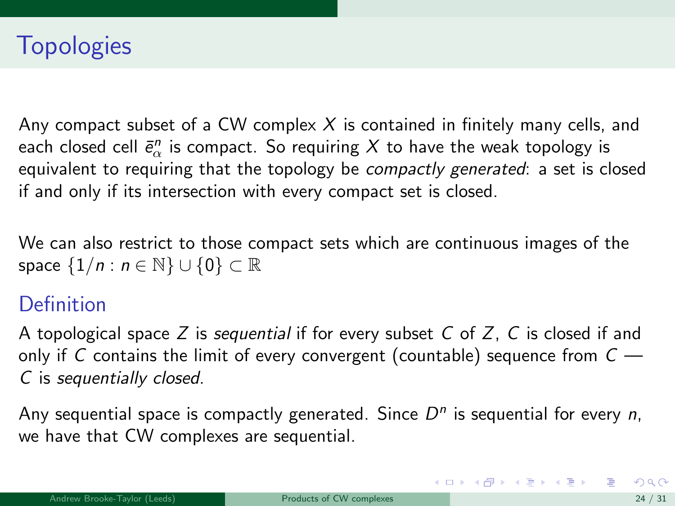Any compact subset of a CW complex  $X$  is contained in finitely many cells, and each closed cell  $\bar{e}^n_\alpha$  is compact. So requiring  $X$  to have the weak topology is equivalent to requiring that the topology be *compactly generated*: a set is closed if and only if its intersection with every compact set is closed.

We can also restrict to those compact sets which are continuous images of the space  $\{1/n : n \in \mathbb{N}\} \cup \{0\} \subset \mathbb{R}$ 

### **Definition**

A topological space Z is sequential if for every subset C of Z, C is closed if and only if C contains the limit of every convergent (countable) sequence from  $C -$ C is sequentially closed.

Any sequential space is compactly generated. Since  $D<sup>n</sup>$  is sequential for every n, we have that CW complexes are sequential.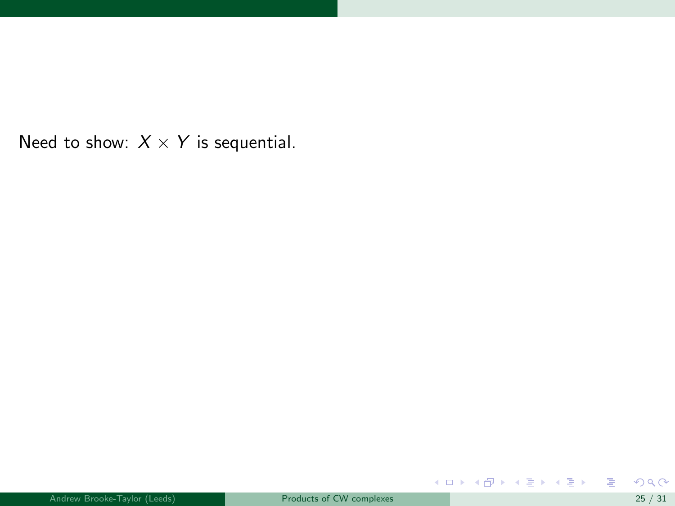Need to show:  $X \times Y$  is sequential.

重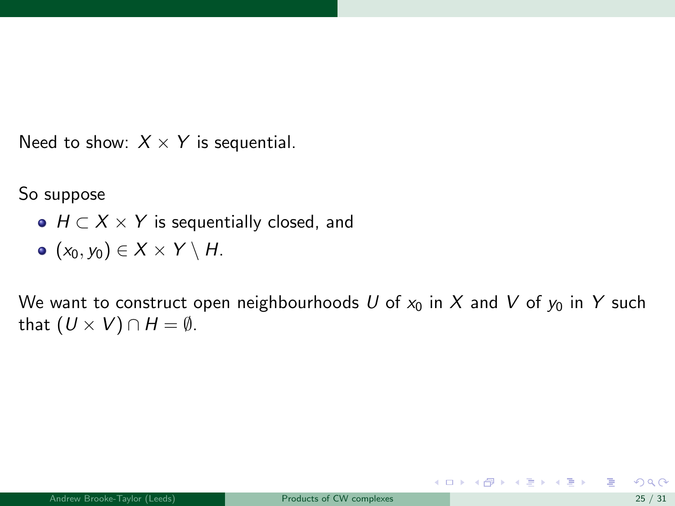Need to show:  $X \times Y$  is sequential.

So suppose

- $\bullet$   $H \subset X \times Y$  is sequentially closed, and
- $\bullet$   $(x_0, y_0) \in X \times Y \setminus H$ .

We want to construct open neighbourhoods U of  $x_0$  in X and V of  $y_0$  in Y such that  $(U \times V) \cap H = \emptyset$ .

メロメ メ御き メミメ メミメー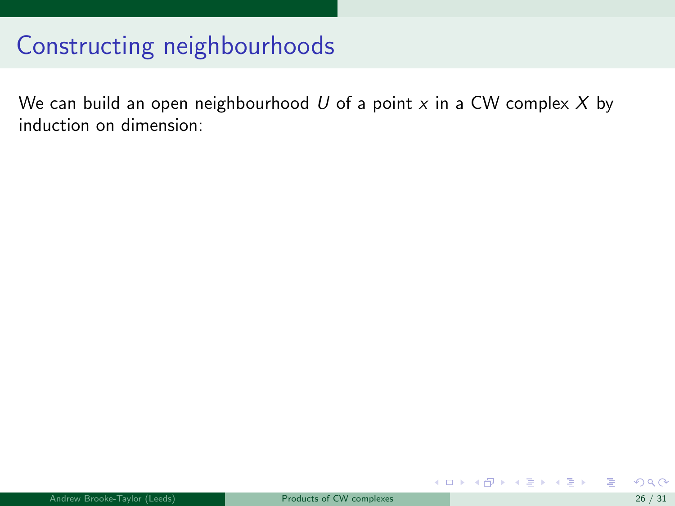# Constructing neighbourhoods

We can build an open neighbourhood  $U$  of a point  $x$  in a CW complex  $X$  by induction on dimension:

メロメ メ御き メミメ メミメ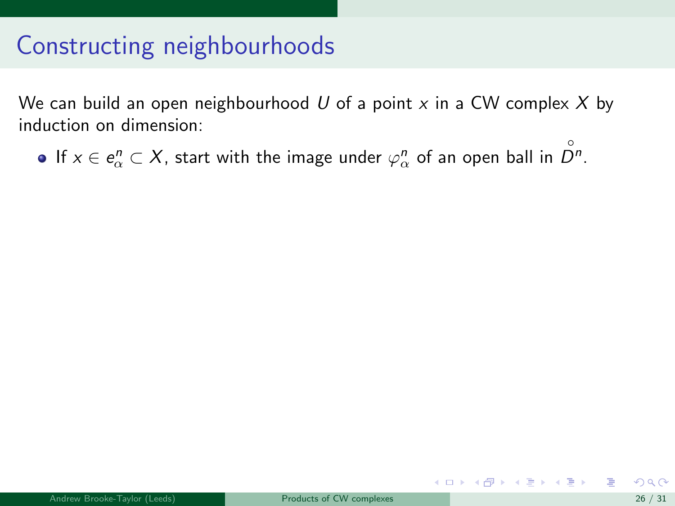# Constructing neighbourhoods

We can build an open neighbourhood  $U$  of a point  $x$  in a CW complex  $X$  by induction on dimension:

If  $x \in e^n_\alpha \subset X$ , start with the image under  $\varphi^n_\alpha$  of an open ball in  $\overset{\circ}{D^n}.$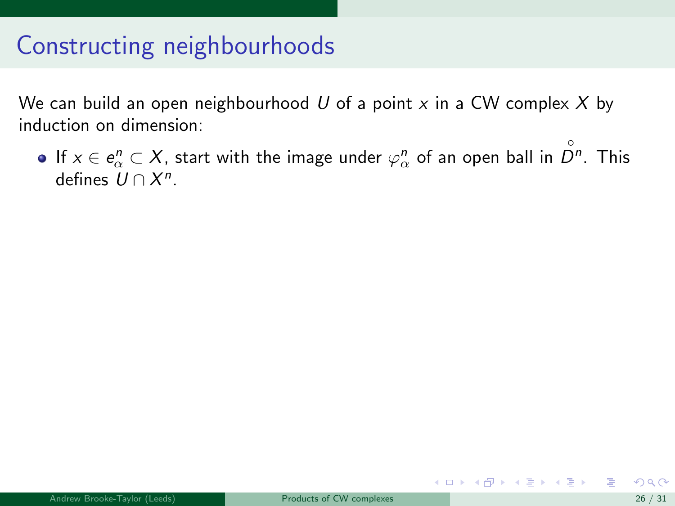We can build an open neighbourhood U of a point  $x$  in a CW complex X by induction on dimension:

If  $x\in e^{n}_\alpha\subset X$ , start with the image under  $\varphi^{n}_\alpha$  of an open ball in  $\stackrel{\circ}{D^n}.$  This defines  $U \cap X^n$ .

メロメ メ部 メメ きょうくきょう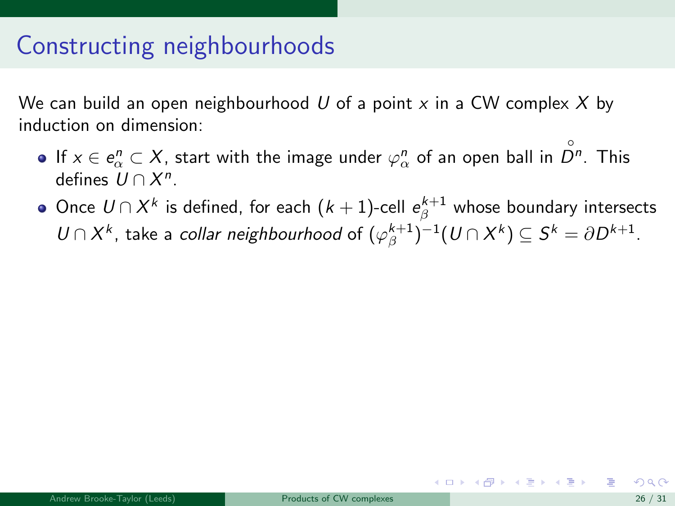We can build an open neighbourhood U of a point  $x$  in a CW complex X by induction on dimension:

- If  $x\in e^{n}_\alpha\subset X$ , start with the image under  $\varphi^{n}_\alpha$  of an open ball in  $\stackrel{\circ}{D^n}.$  This defines  $U \cap X^n$ .
- Once  $\mathit{U} \cap X^k$  is defined, for each  $(k+1)$ -cell  $e_{\beta}^{k+1}$  whose boundary intersects  $U \cap X^k$ , take a *collar neighbourhood* of  $(\varphi_{\beta}^{k+1})^{-1}(U \cap X^k) \subseteq S^k = \partial D^{k+1}$ .

イロメ イ部メ イ君メ イ君メー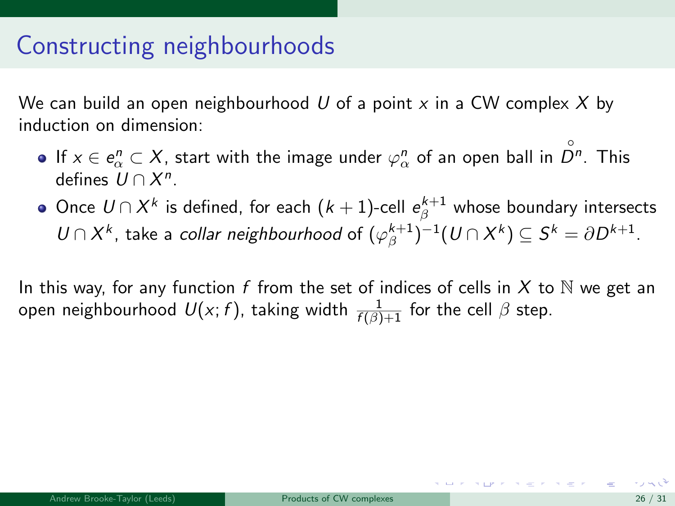We can build an open neighbourhood U of a point  $x$  in a CW complex X by induction on dimension:

- If  $x\in e^{n}_\alpha\subset X$ , start with the image under  $\varphi^{n}_\alpha$  of an open ball in  $\stackrel{\circ}{D^n}.$  This defines  $U \cap X^n$ .
- Once  $\mathit{U} \cap X^k$  is defined, for each  $(k+1)$ -cell  $e_{\beta}^{k+1}$  whose boundary intersects  $U \cap X^k$ , take a *collar neighbourhood* of  $(\varphi_{\beta}^{k+1})^{-1}(U \cap X^k) \subseteq S^k = \partial D^{k+1}$ .

In this way, for any function f from the set of indices of cells in X to  $\mathbb N$  we get an open neighbourhood  $\mathit{U}(x; f)$ , taking width  $\frac{1}{f(\beta)+1}$  for the cell  $\beta$  step.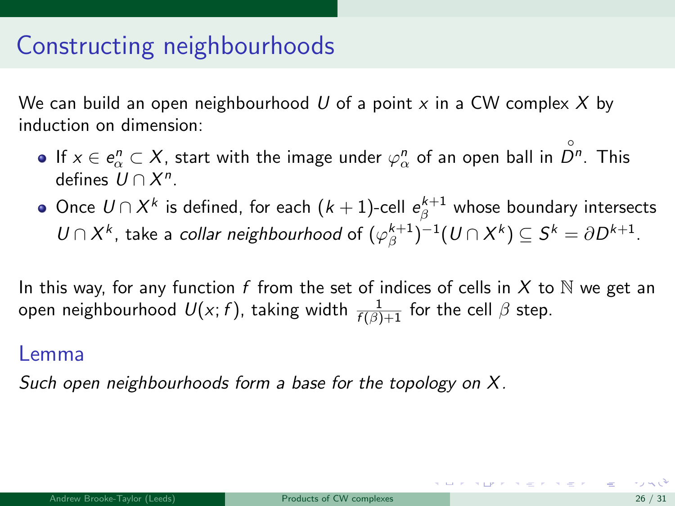We can build an open neighbourhood U of a point  $x$  in a CW complex X by induction on dimension:

- If  $x\in e^{n}_\alpha\subset X$ , start with the image under  $\varphi^{n}_\alpha$  of an open ball in  $\stackrel{\circ}{D^n}.$  This defines  $U \cap X^n$ .
- Once  $\mathit{U} \cap X^k$  is defined, for each  $(k+1)$ -cell  $e_{\beta}^{k+1}$  whose boundary intersects  $U \cap X^k$ , take a *collar neighbourhood* of  $(\varphi_{\beta}^{k+1})^{-1}(U \cap X^k) \subseteq S^k = \partial D^{k+1}$ .

In this way, for any function f from the set of indices of cells in X to  $\mathbb N$  we get an open neighbourhood  $\mathit{U}(x; f)$ , taking width  $\frac{1}{f(\beta)+1}$  for the cell  $\beta$  step.

#### Lemma

Such open neighbourhoods form a base for the topology on X.

**SUPPLY BEFORE FORE**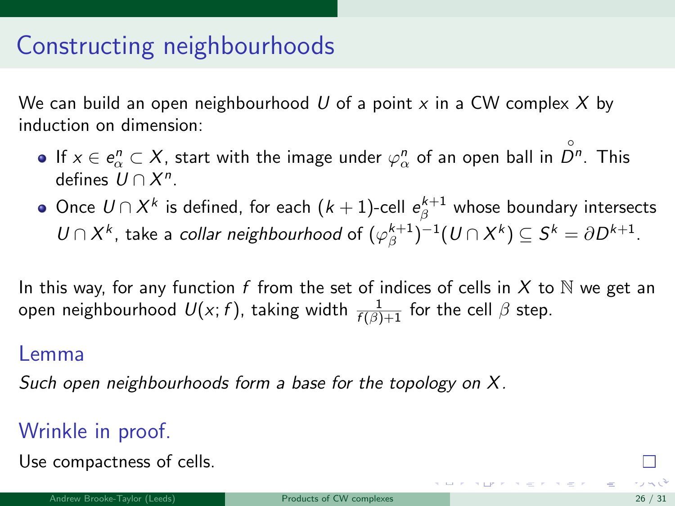<span id="page-76-0"></span>We can build an open neighbourhood U of a point  $x$  in a CW complex X by induction on dimension:

- If  $x\in e^{n}_\alpha\subset X$ , start with the image under  $\varphi^{n}_\alpha$  of an open ball in  $\stackrel{\circ}{D^n}.$  This defines  $U \cap X^n$ .
- Once  $\mathit{U} \cap X^k$  is defined, for each  $(k+1)$ -cell  $e_{\beta}^{k+1}$  whose boundary intersects  $U \cap X^k$ , take a *collar neighbourhood* of  $(\varphi_{\beta}^{k+1})^{-1}(U \cap X^k) \subseteq S^k = \partial D^{k+1}$ .

In this way, for any function f from the set of indices of cells in X to  $\mathbb N$  we get an open neighbourhood  $\mathit{U}(x; f)$ , taking width  $\frac{1}{f(\beta)+1}$  for the cell  $\beta$  step.

#### Lemma

Such open neighbourhoods form a base for the topology on X.

#### Wrinkle in proof.

Use compactness of cells.

**Surviverser**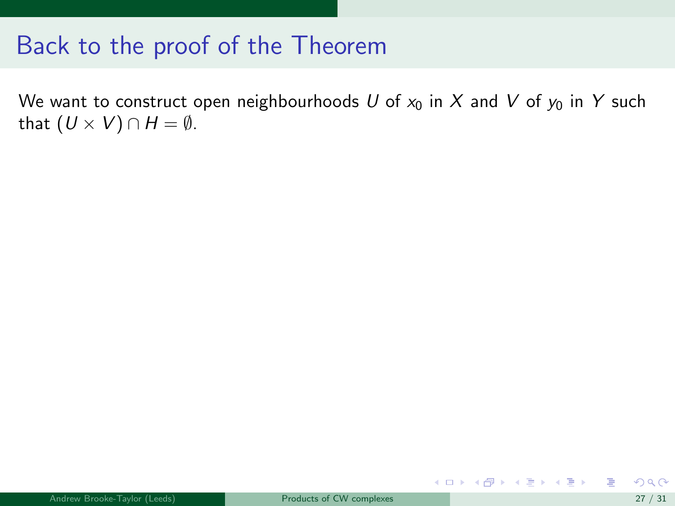<span id="page-77-0"></span>We want to construct open neighbourhoods U of  $x_0$  in X and V of  $y_0$  in Y such that  $(U \times V) \cap H = \emptyset$ .

メロメ メ御 メメ きょうくきょう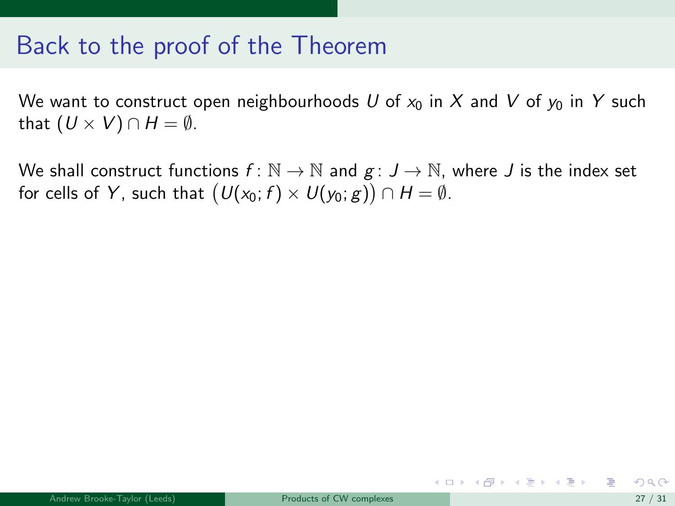We want to construct open neighbourhoods U of  $x_0$  in X and V of  $y_0$  in Y such that  $(U \times V) \cap H = \emptyset$ .

We shall construct functions  $f: \mathbb{N} \to \mathbb{N}$  and  $g: J \to \mathbb{N}$ , where J is the index set for cells of  $\mathsf{Y},$  such that  $\big(\mathsf{U}(\mathsf{x}_0;f) \times \mathsf{U}(\mathsf{y}_0;g)\big) \cap \mathsf{H} = \emptyset.$ 

メロメ メ御き メミメ メミメー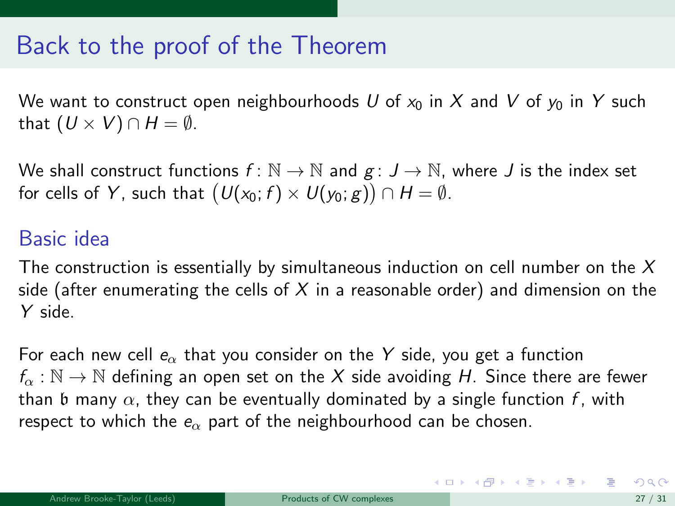<span id="page-79-0"></span>We want to construct open neighbourhoods U of  $x_0$  in X and V of  $y_0$  in Y such that  $(U \times V) \cap H = \emptyset$ .

We shall construct functions  $f: \mathbb{N} \to \mathbb{N}$  and  $g: J \to \mathbb{N}$ , where J is the index set for cells of  $\mathsf{Y},$  such that  $\big(\mathsf{U}(\mathsf{x}_0;f) \times \mathsf{U}(\mathsf{y}_0;g)\big) \cap \mathsf{H} = \emptyset.$ 

#### Basic idea

The construction is essentially by simultaneous induction on cell number on the  $X$ side (after enumerating the cells of X in a reasonable order) and dimension on the Y side.

For each new cell  $e_{\alpha}$  that you consider on the Y side, you get a function  $f_{\alpha}: \mathbb{N} \to \mathbb{N}$  defining an open set on the X side avoiding H. Since there are fewer than b many  $\alpha$ , they can be eventually dominated by a single function f, with respect to which the  $e_{\alpha}$  part of the neighbourhood can be chosen.

イロト 不優 ト 不差 ト 不差 トー 差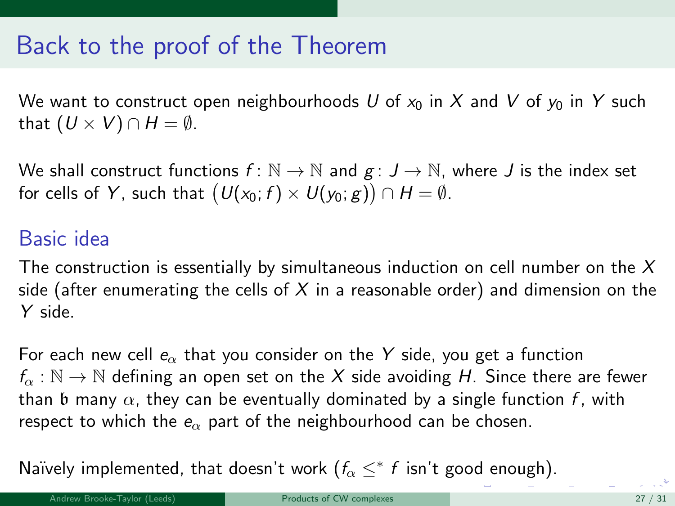<span id="page-80-0"></span>We want to construct open neighbourhoods U of  $x_0$  in X and V of  $y_0$  in Y such that  $(U \times V) \cap H = \emptyset$ .

We shall construct functions  $f: \mathbb{N} \to \mathbb{N}$  and  $g: J \to \mathbb{N}$ , where J is the index set for cells of  $\mathsf{Y},$  such that  $\big(\mathsf{U}(\mathsf{x}_0;f) \times \mathsf{U}(\mathsf{y}_0;g)\big) \cap \mathsf{H} = \emptyset.$ 

#### Basic idea

The construction is essentially by simultaneous induction on cell number on the  $X$ side (after enumerating the cells of X in a reasonable order) and dimension on the Y side.

For each new cell  $e_{\alpha}$  that you consider on the Y side, you get a function  $f_{\alpha}: \mathbb{N} \to \mathbb{N}$  defining an open set on the X side avoiding H. Since there are fewer than b many  $\alpha$ , they can be eventually dominated by a single function f, with respect to which the  $e_{\alpha}$  part of the neighbourhood can be chosen.

Naïvely implemented, that doesn['t](#page-79-0) work  $(f_\alpha \leq^* f$  isn't g[oo](#page-81-0)[d](#page-76-0) [e](#page-80-0)[n](#page-81-0)[ou](#page-0-0)[gh\)](#page-89-0)[.](#page-0-0)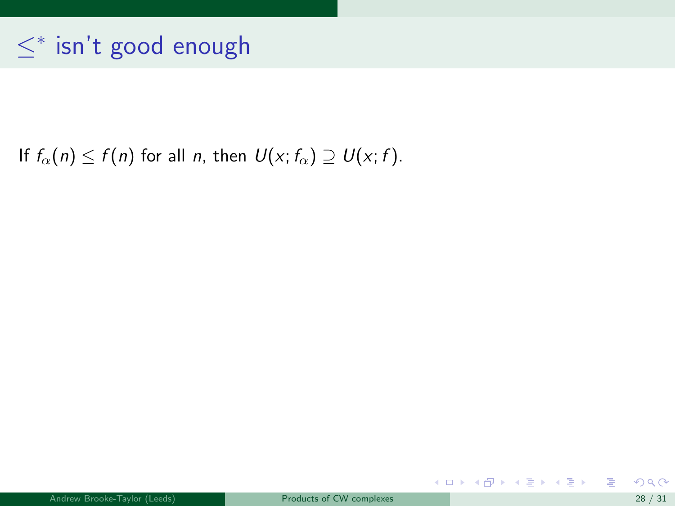#### <span id="page-81-0"></span>If  $f_{\alpha}(n) \leq f(n)$  for all n, then  $U(x; f_{\alpha}) \supseteq U(x; f)$ .

重

メロメ メ御 メメ きょうくきょう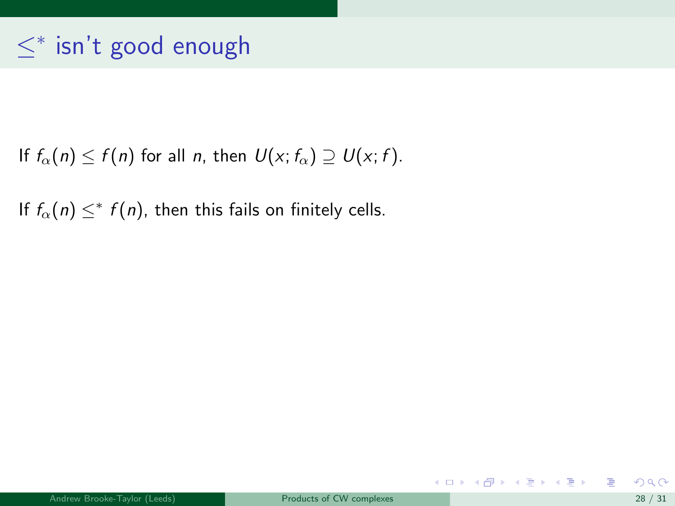If  $f_{\alpha}(n) \leq f(n)$  for all n, then  $U(x; f_{\alpha}) \supseteq U(x; f)$ .

If  $f_{\alpha}(n) \leq^* f(n)$ , then this fails on finitely cells.

重

メロメメ 倒す メミメメ ミメー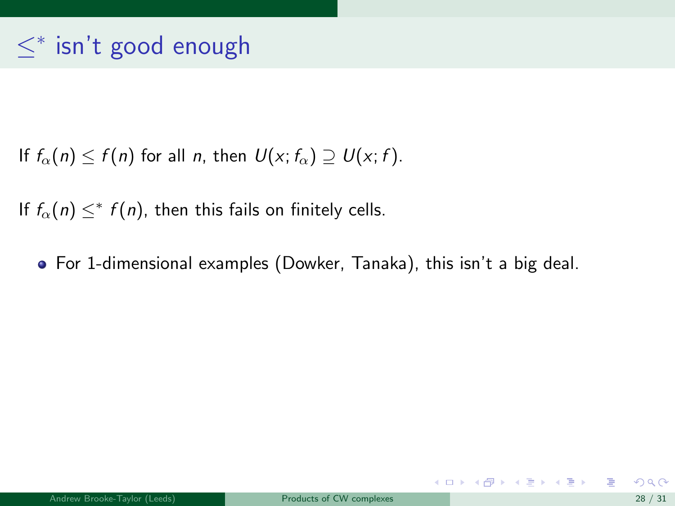If  $f_{\alpha}(n) \leq f(n)$  for all n, then  $U(x; f_{\alpha}) \supseteq U(x; f)$ .

If  $f_{\alpha}(n) \leq^* f(n)$ , then this fails on finitely cells.

For 1-dimensional examples (Dowker, Tanaka), this isn't a big deal.

メロメ メ都 メメ きょうくぼ メー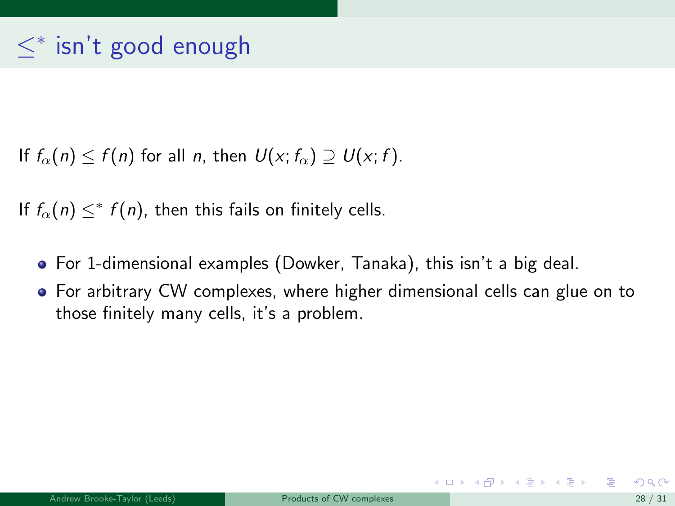If  $f_{\alpha}(n) < f(n)$  for all n, then  $U(x; f_{\alpha}) \supset U(x; f)$ .

If  $f_{\alpha}(n) \leq^* f(n)$ , then this fails on finitely cells.

- For 1-dimensional examples (Dowker, Tanaka), this isn't a big deal.
- For arbitrary CW complexes, where higher dimensional cells can glue on to those finitely many cells, it's a problem.

メロメ メ御き メミメ メミメー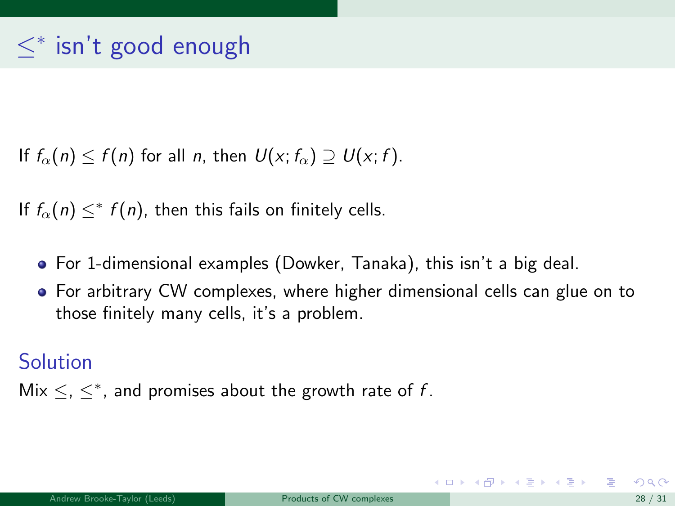<span id="page-85-0"></span>If  $f_{\alpha}(n) < f(n)$  for all n, then  $U(x; f_{\alpha}) \supset U(x; f)$ .

If  $f_{\alpha}(n) \leq^* f(n)$ , then this fails on finitely cells.

- For 1-dimensional examples (Dowker, Tanaka), this isn't a big deal.
- For arbitrary CW complexes, where higher dimensional cells can glue on to those finitely many cells, it's a problem.

Solution

Mix  $\leq$ ,  $\leq^*$ , and promises about the growth rate of f.

メロメ メ都 メメ きょうくぼ メー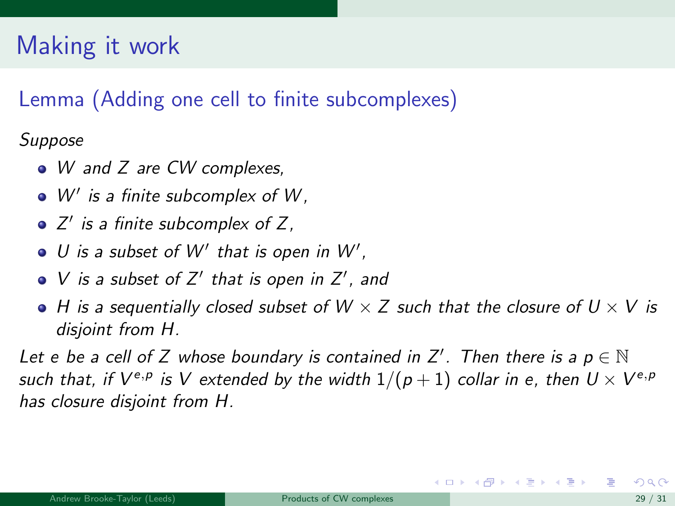# <span id="page-86-0"></span>Making it work

#### Lemma (Adding one cell to finite subcomplexes)

Suppose

- W and Z are CW complexes,
- $W'$  is a finite subcomplex of  $W$ ,
- Z 0 is a finite subcomplex of Z,
- U is a subset of  $W'$  that is open in  $W'$ ,
- V is a subset of  $Z'$  that is open in  $Z'$ , and
- $\bullet$  H is a sequentially closed subset of W  $\times$  Z such that the closure of U  $\times$  V is disjoint from H.

Let e be a cell of Z whose boundary is contained in Z'. Then there is a  $p \in \mathbb{N}$ such that, if  $V^{e,p}$  is  $V$  extended by the width  $1/(p+1)$  collar in e, then  $U\times V^{e,p}$ has closure disjoint from H.

イロト イ押ト イヨト イヨト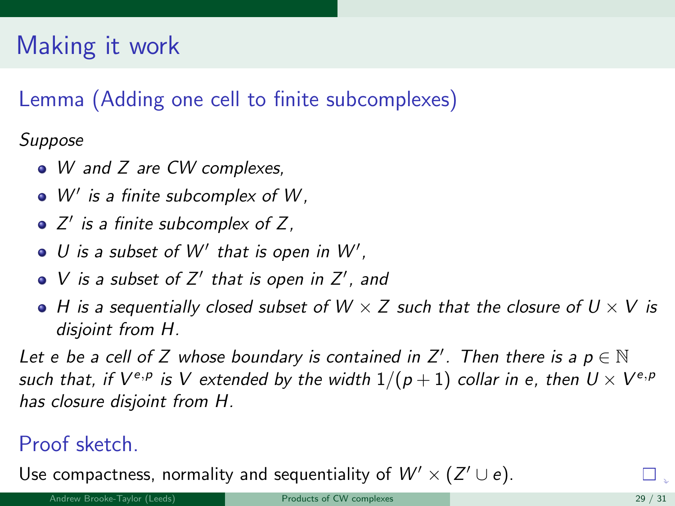# <span id="page-87-0"></span>Making it work

#### Lemma (Adding one cell to finite subcomplexes)

Suppose

- W and Z are CW complexes,
- $W'$  is a finite subcomplex of  $W$ ,
- Z 0 is a finite subcomplex of Z,
- U is a subset of  $W'$  that is open in  $W'$ ,
- V is a subset of  $Z'$  that is open in  $Z'$ , and
- $\bullet$  H is a sequentially closed subset of W  $\times$  Z such that the closure of U  $\times$  V is disjoint from H.

Let e be a cell of Z whose boundary is contained in Z'. Then there is a  $p \in \mathbb{N}$ such that, if  $V^{e,p}$  is  $V$  extended by the width  $1/(p+1)$  collar in e, then  $U\times V^{e,p}$ has closure disjoint from H.

#### Proof sketch.

Us[e](#page-87-0) compactness, normality and sequentiality of  $W' \times (Z' \cup e)$  $W' \times (Z' \cup e)$  $W' \times (Z' \cup e)$  $W' \times (Z' \cup e)$ [.](#page-0-0)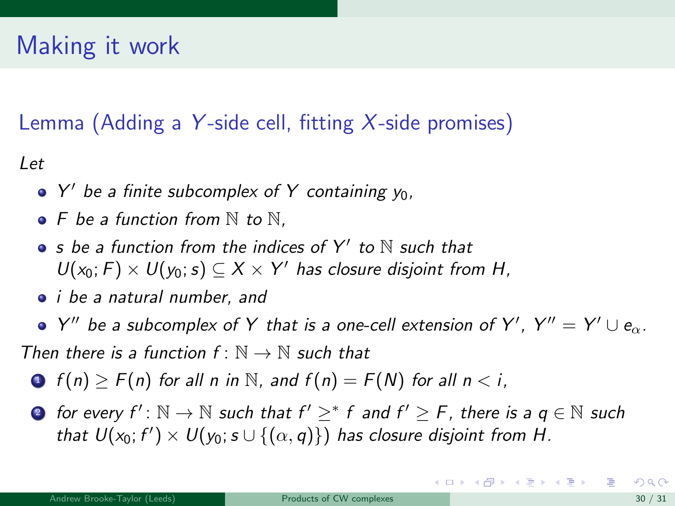# <span id="page-88-0"></span>Making it work

#### Lemma (Adding a Y-side cell, fitting  $X$ -side promises)

Let

- $Y'$  be a finite subcomplex of Y containing  $y_0$ ,
- $\bullet$  F be a function from  $\mathbb N$  to  $\mathbb N$ .
- s be a function from the indices of  $Y'$  to  $\mathbb N$  such that  $U(x_0; F) \times U(y_0; s) \subseteq X \times Y'$  has closure disjoint from H,
- *i be a natural number*, and
- Y" be a subcomplex of Y that is a one-cell extension of Y',  $Y'' = Y' \cup e_{\alpha}$ .

Then there is a function  $f: \mathbb{N} \to \mathbb{N}$  such that

- $\bigcirc$   $f(n)$  >  $F(n)$  for all n in N, and  $f(n) = F(N)$  for all  $n < i$ ,
- **•** for every  $f' : \mathbb{N} \to \mathbb{N}$  such that  $f' \geq^* f$  and  $f' \geq F$ , there is a  $q \in \mathbb{N}$  such that  $U(x_0; f') \times U(y_0; s \cup \{(\alpha, q)\})$  has closure disjoint from H.

K ロンス 御 > ス ヨ > ス ヨ > 一 ヨ